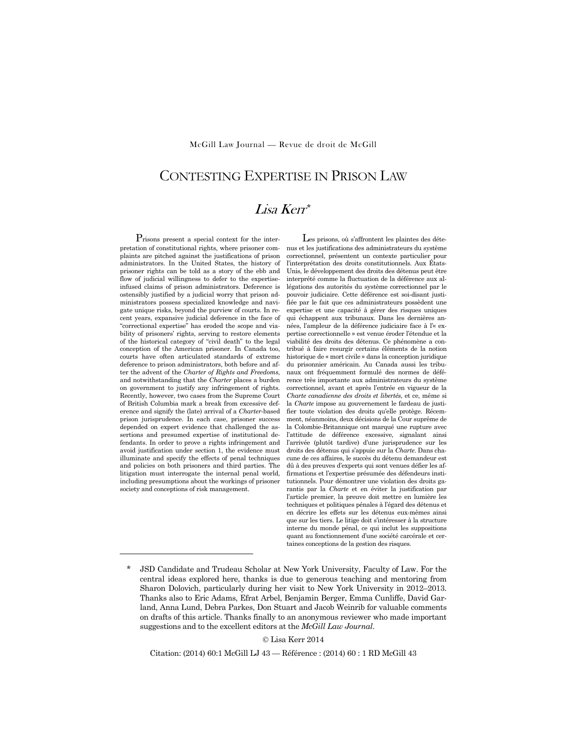McGill Law Journal — Revue de droit de McGill

# CONTESTING EXPERTISE IN PRISON LAW

# Lisa Kerr\*

Prisons present a special context for the interpretation of constitutional rights, where prisoner complaints are pitched against the justifications of prison administrators. In the United States, the history of prisoner rights can be told as a story of the ebb and flow of judicial willingness to defer to the expertiseinfused claims of prison administrators. Deference is ostensibly justified by a judicial worry that prison administrators possess specialized knowledge and navigate unique risks, beyond the purview of courts. In recent years, expansive judicial deference in the face of "correctional expertise" has eroded the scope and viability of prisoners' rights, serving to restore elements of the historical category of "civil death" to the legal conception of the American prisoner. In Canada too, courts have often articulated standards of extreme deference to prison administrators, both before and after the advent of the *Charter of Rights and Freedoms*, and notwithstanding that the *Charter* places a burden on government to justify any infringement of rights. Recently, however, two cases from the Supreme Court of British Columbia mark a break from excessive deference and signify the (late) arrival of a *Charter*-based prison jurisprudence. In each case, prisoner success depended on expert evidence that challenged the assertions and presumed expertise of institutional defendants. In order to prove a rights infringement and avoid justification under section 1, the evidence must illuminate and specify the effects of penal techniques and policies on both prisoners and third parties. The litigation must interrogate the internal penal world, including presumptions about the workings of prisoner society and conceptions of risk management.

-

Les prisons, où s'affrontent les plaintes des détenus et les justifications des administrateurs du système correctionnel, présentent un contexte particulier pour l'interprétation des droits constitutionnels. Aux États-Unis, le développement des droits des détenus peut être interprété comme la fluctuation de la déférence aux allégations des autorités du système correctionnel par le pouvoir judiciaire. Cette déférence est soi-disant justifiée par le fait que ces administrateurs possèdent une expertise et une capacité à gérer des risques uniques qui échappent aux tribunaux. Dans les dernières années, l'ampleur de la déférence judiciaire face à l'« expertise correctionnelle » est venue éroder l'étendue et la viabilité des droits des détenus. Ce phénomène a contribué à faire resurgir certains éléments de la notion historique de « mort civile » dans la conception juridique du prisonnier américain. Au Canada aussi les tribunaux ont fréquemment formulé des normes de déférence très importante aux administrateurs du système correctionnel, avant et après l'entrée en vigueur de la *Charte canadienne des droits et libertés*, et ce, même si la *Charte* impose au gouvernement le fardeau de justifier toute violation des droits qu'elle protège. Récemment, néanmoins, deux décisions de la Cour suprême de la Colombie-Britannique ont marqué une rupture avec l'attitude de déférence excessive, signalant ainsi l'arrivée (plutôt tardive) d'une jurisprudence sur les droits des détenus qui s'appuie sur la *Charte*. Dans chacune de ces affaires, le succès du détenu demandeur est dû à des preuves d'experts qui sont venues défier les affirmations et l'expertise présumée des défendeurs institutionnels. Pour démontrer une violation des droits garantis par la *Charte* et en éviter la justification par l'article premier, la preuve doit mettre en lumière les techniques et politiques pénales à l'égard des détenus et en décrire les effets sur les détenus eux-mêmes ainsi que sur les tiers. Le litige doit s'intéresser à la structure interne du monde pénal, ce qui inclut les suppositions quant au fonctionnement d'une société carcérale et certaines conceptions de la gestion des risques.

Lisa Kerr 2014

Citation: (2014) 60:1 McGill LJ 43 — Référence : (2014) 60 : 1 RD McGill 43

<sup>\*</sup> JSD Candidate and Trudeau Scholar at New York University, Faculty of Law. For the central ideas explored here, thanks is due to generous teaching and mentoring from Sharon Dolovich, particularly during her visit to New York University in 2012–2013. Thanks also to Eric Adams, Efrat Arbel, Benjamin Berger, Emma Cunliffe, David Garland, Anna Lund, Debra Parkes, Don Stuart and Jacob Weinrib for valuable comments on drafts of this article. Thanks finally to an anonymous reviewer who made important suggestions and to the excellent editors at the *McGill Law Journal*.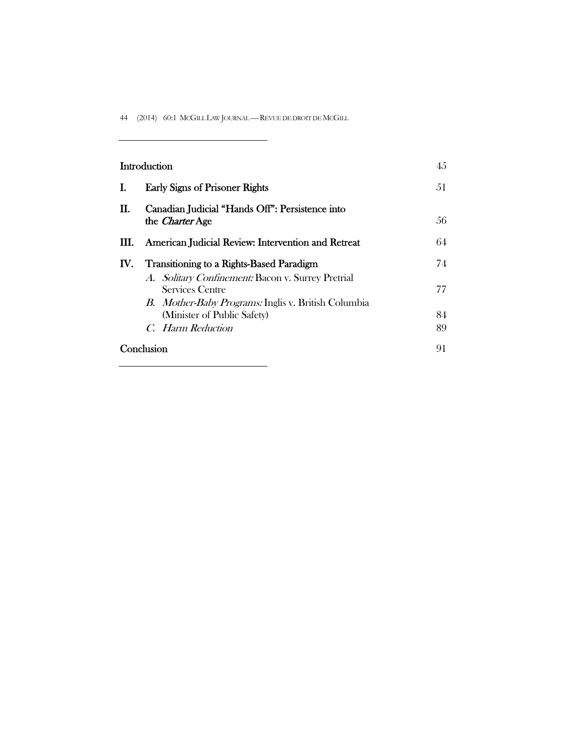44 (2014) 60:1 MCGILL LAW JOURNAL —REVUE DE DROIT DE MCGILL

 $\overline{\phantom{0}}$ 

| Introduction |                                                                                                                                    | 45  |
|--------------|------------------------------------------------------------------------------------------------------------------------------------|-----|
| I.           | <b>Early Signs of Prisoner Rights</b>                                                                                              | 51  |
| П.           | Canadian Judicial "Hands Off": Persistence into<br>the <i>Charter</i> Age                                                          | 56. |
| Ш.           | American Judicial Review: Intervention and Retreat                                                                                 | 64  |
| IV.          | <b>Transitioning to a Rights-Based Paradigm</b>                                                                                    | 74  |
|              | A. Solitary Confinement: Bacon v. Surrey Pretrial<br>Services Centre<br><i>B. Mother-Baby Programs:</i> Inglis v. British Columbia | 77  |
|              | (Minister of Public Safety)                                                                                                        | 84  |
|              | C. Harm Reduction                                                                                                                  | 89  |
| Conclusion   |                                                                                                                                    | 91  |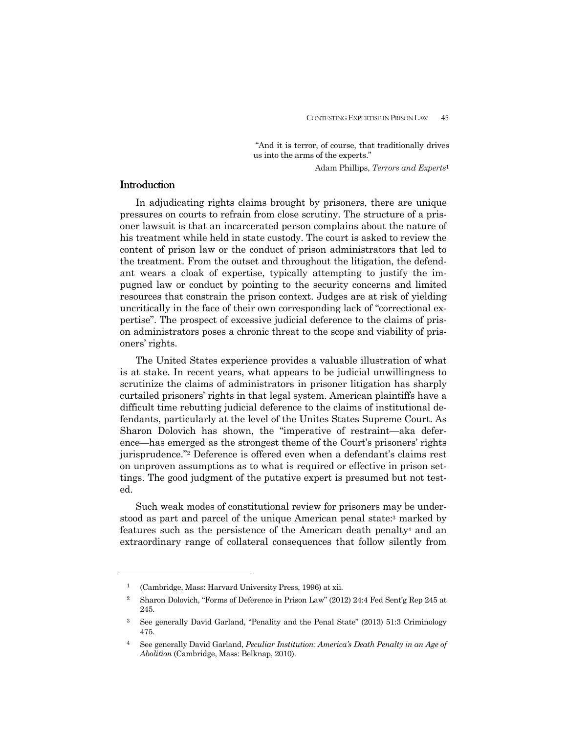"And it is terror, of course, that traditionally drives us into the arms of the experts."

Adam Phillips, *Terrors and Experts*<sup>1</sup>

# **Introduction**

-

 In adjudicating rights claims brought by prisoners, there are unique pressures on courts to refrain from close scrutiny. The structure of a prisoner lawsuit is that an incarcerated person complains about the nature of his treatment while held in state custody. The court is asked to review the content of prison law or the conduct of prison administrators that led to the treatment. From the outset and throughout the litigation, the defendant wears a cloak of expertise, typically attempting to justify the impugned law or conduct by pointing to the security concerns and limited resources that constrain the prison context. Judges are at risk of yielding uncritically in the face of their own corresponding lack of "correctional expertise". The prospect of excessive judicial deference to the claims of prison administrators poses a chronic threat to the scope and viability of prisoners' rights.

 The United States experience provides a valuable illustration of what is at stake. In recent years, what appears to be judicial unwillingness to scrutinize the claims of administrators in prisoner litigation has sharply curtailed prisoners' rights in that legal system. American plaintiffs have a difficult time rebutting judicial deference to the claims of institutional defendants, particularly at the level of the Unites States Supreme Court. As Sharon Dolovich has shown, the "imperative of restraint—aka deference—has emerged as the strongest theme of the Court's prisoners' rights jurisprudence."2 Deference is offered even when a defendant's claims rest on unproven assumptions as to what is required or effective in prison settings. The good judgment of the putative expert is presumed but not tested.

 Such weak modes of constitutional review for prisoners may be understood as part and parcel of the unique American penal state:3 marked by features such as the persistence of the American death penalty4 and an extraordinary range of collateral consequences that follow silently from

<sup>1</sup>(Cambridge, Mass: Harvard University Press, 1996) at xii.

<sup>2</sup> Sharon Dolovich, "Forms of Deference in Prison Law" (2012) 24:4 Fed Sent'g Rep 245 at 245.

<sup>3</sup> See generally David Garland, "Penality and the Penal State" (2013) 51:3 Criminology 475.

<sup>4</sup> See generally David Garland, *Peculiar Institution: America's Death Penalty in an Age of Abolition* (Cambridge, Mass: Belknap, 2010).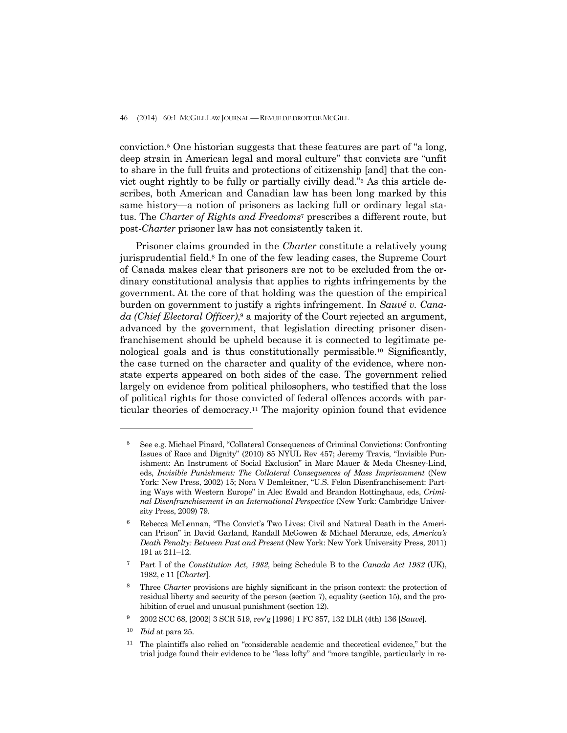#### 46 (2014) 60:1 MCGILL LAW JOURNAL —REVUE DE DROIT DE MCGILL

conviction.5 One historian suggests that these features are part of "a long, deep strain in American legal and moral culture" that convicts are "unfit to share in the full fruits and protections of citizenship [and] that the convict ought rightly to be fully or partially civilly dead."6 As this article describes, both American and Canadian law has been long marked by this same history—a notion of prisoners as lacking full or ordinary legal status. The *Charter of Rights and Freedoms*7 prescribes a different route, but post-*Charter* prisoner law has not consistently taken it.

 Prisoner claims grounded in the *Charter* constitute a relatively young jurisprudential field.8 In one of the few leading cases, the Supreme Court of Canada makes clear that prisoners are not to be excluded from the ordinary constitutional analysis that applies to rights infringements by the government. At the core of that holding was the question of the empirical burden on government to justify a rights infringement. In *Sauvé v. Canada (Chief Electoral Officer)*,9 a majority of the Court rejected an argument, advanced by the government, that legislation directing prisoner disenfranchisement should be upheld because it is connected to legitimate penological goals and is thus constitutionally permissible.10 Significantly, the case turned on the character and quality of the evidence, where nonstate experts appeared on both sides of the case. The government relied largely on evidence from political philosophers, who testified that the loss of political rights for those convicted of federal offences accords with particular theories of democracy.11 The majority opinion found that evidence

<sup>5</sup> See e.g. Michael Pinard, "Collateral Consequences of Criminal Convictions: Confronting Issues of Race and Dignity" (2010) 85 NYUL Rev 457; Jeremy Travis, "Invisible Punishment: An Instrument of Social Exclusion" in Marc Mauer & Meda Chesney-Lind, eds, *Invisible Punishment: The Collateral Consequences of Mass Imprisonment* (New York: New Press, 2002) 15; Nora V Demleitner, "U.S. Felon Disenfranchisement: Parting Ways with Western Europe" in Alec Ewald and Brandon Rottinghaus, eds, *Criminal Disenfranchisement in an International Perspective* (New York: Cambridge University Press, 2009) 79.

<sup>6</sup> Rebecca McLennan, "The Convict's Two Lives: Civil and Natural Death in the American Prison" in David Garland, Randall McGowen & Michael Meranze, eds, *America's Death Penalty: Between Past and Present* (New York: New York University Press, 2011) 191 at 211–12.

<sup>7</sup>Part I of the *Constitution Act*, *1982*, being Schedule B to the *Canada Act 1982* (UK), 1982, c 11 [*Charter*].

Three *Charter* provisions are highly significant in the prison context: the protection of residual liberty and security of the person (section 7), equality (section 15), and the prohibition of cruel and unusual punishment (section 12).

<sup>9 2002</sup> SCC 68, [2002] 3 SCR 519, rev'g [1996] 1 FC 857, 132 DLR (4th) 136 [*Sauvé*].

<sup>10</sup> *Ibid* at para 25.

<sup>11</sup> The plaintiffs also relied on "considerable academic and theoretical evidence," but the trial judge found their evidence to be "less lofty" and "more tangible, particularly in re-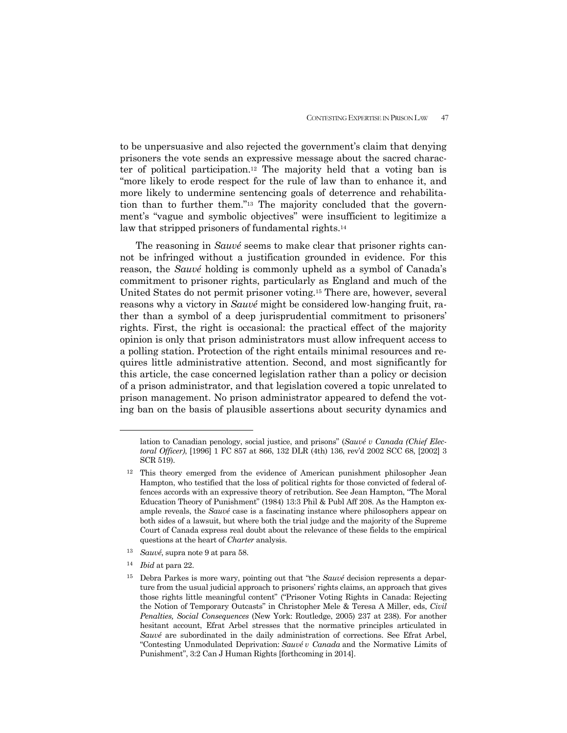to be unpersuasive and also rejected the government's claim that denying prisoners the vote sends an expressive message about the sacred character of political participation.12 The majority held that a voting ban is "more likely to erode respect for the rule of law than to enhance it, and more likely to undermine sentencing goals of deterrence and rehabilitation than to further them."13 The majority concluded that the government's "vague and symbolic objectives" were insufficient to legitimize a law that stripped prisoners of fundamental rights.<sup>14</sup>

 The reasoning in *Sauvé* seems to make clear that prisoner rights cannot be infringed without a justification grounded in evidence. For this reason, the *Sauvé* holding is commonly upheld as a symbol of Canada's commitment to prisoner rights, particularly as England and much of the United States do not permit prisoner voting.15 There are, however, several reasons why a victory in *Sauvé* might be considered low-hanging fruit, rather than a symbol of a deep jurisprudential commitment to prisoners' rights. First, the right is occasional: the practical effect of the majority opinion is only that prison administrators must allow infrequent access to a polling station. Protection of the right entails minimal resources and requires little administrative attention. Second, and most significantly for this article, the case concerned legislation rather than a policy or decision of a prison administrator, and that legislation covered a topic unrelated to prison management. No prison administrator appeared to defend the voting ban on the basis of plausible assertions about security dynamics and

- <sup>13</sup> *Sauvé*, supra note 9 at para 58.
- <sup>14</sup> *Ibid* at para 22.

lation to Canadian penology, social justice, and prisons" (*Sauvé v Canada (Chief Electoral Officer)*, [1996] 1 FC 857 at 866, 132 DLR (4th) 136, rev'd 2002 SCC 68, [2002] 3 SCR 519).

<sup>12</sup> This theory emerged from the evidence of American punishment philosopher Jean Hampton, who testified that the loss of political rights for those convicted of federal offences accords with an expressive theory of retribution. See Jean Hampton, "The Moral Education Theory of Punishment" (1984) 13:3 Phil & Publ Aff 208. As the Hampton example reveals, the *Sauvé* case is a fascinating instance where philosophers appear on both sides of a lawsuit, but where both the trial judge and the majority of the Supreme Court of Canada express real doubt about the relevance of these fields to the empirical questions at the heart of *Charter* analysis.

<sup>15</sup> Debra Parkes is more wary, pointing out that "the *Sauvé* decision represents a departure from the usual judicial approach to prisoners' rights claims, an approach that gives those rights little meaningful content" ("Prisoner Voting Rights in Canada: Rejecting the Notion of Temporary Outcasts" in Christopher Mele & Teresa A Miller, eds, *Civil Penalties, Social Consequences* (New York: Routledge, 2005) 237 at 238). For another hesitant account, Efrat Arbel stresses that the normative principles articulated in *Sauvé* are subordinated in the daily administration of corrections. See Efrat Arbel, "Contesting Unmodulated Deprivation: *Sauvé v Canada* and the Normative Limits of Punishment", 3:2 Can J Human Rights [forthcoming in 2014].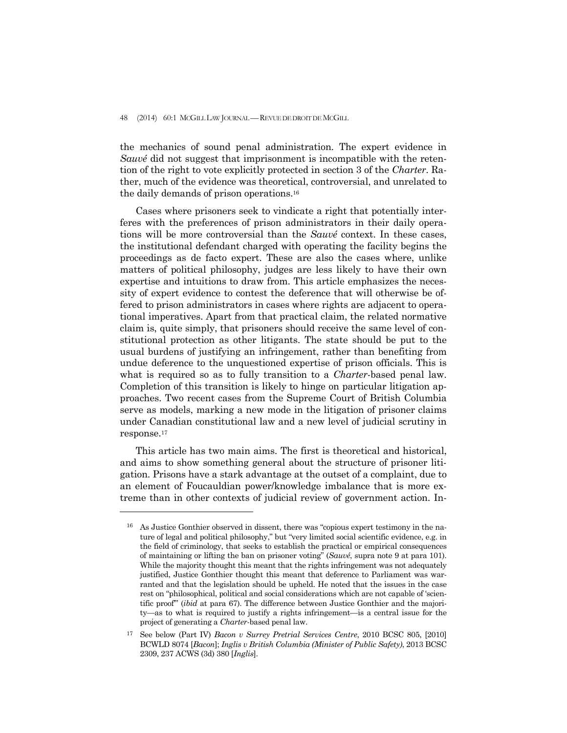48 (2014) 60:1 MCGILL LAW JOURNAL - REVUE DE DROIT DE MCGILL

the mechanics of sound penal administration. The expert evidence in *Sauvé* did not suggest that imprisonment is incompatible with the retention of the right to vote explicitly protected in section 3 of the *Charter*. Rather, much of the evidence was theoretical, controversial, and unrelated to the daily demands of prison operations.16

 Cases where prisoners seek to vindicate a right that potentially interferes with the preferences of prison administrators in their daily operations will be more controversial than the *Sauvé* context. In these cases, the institutional defendant charged with operating the facility begins the proceedings as de facto expert. These are also the cases where, unlike matters of political philosophy, judges are less likely to have their own expertise and intuitions to draw from. This article emphasizes the necessity of expert evidence to contest the deference that will otherwise be offered to prison administrators in cases where rights are adjacent to operational imperatives. Apart from that practical claim, the related normative claim is, quite simply, that prisoners should receive the same level of constitutional protection as other litigants. The state should be put to the usual burdens of justifying an infringement, rather than benefiting from undue deference to the unquestioned expertise of prison officials. This is what is required so as to fully transition to a *Charter*-based penal law. Completion of this transition is likely to hinge on particular litigation approaches. Two recent cases from the Supreme Court of British Columbia serve as models, marking a new mode in the litigation of prisoner claims under Canadian constitutional law and a new level of judicial scrutiny in response.17

 This article has two main aims. The first is theoretical and historical, and aims to show something general about the structure of prisoner litigation. Prisons have a stark advantage at the outset of a complaint, due to an element of Foucauldian power/knowledge imbalance that is more extreme than in other contexts of judicial review of government action. In-

<sup>&</sup>lt;sup>16</sup> As Justice Gonthier observed in dissent, there was "copious expert testimony in the nature of legal and political philosophy," but "very limited social scientific evidence, e.g. in the field of criminology, that seeks to establish the practical or empirical consequences of maintaining or lifting the ban on prisoner voting" (*Sauvé*, supra note 9 at para 101). While the majority thought this meant that the rights infringement was not adequately justified, Justice Gonthier thought this meant that deference to Parliament was warranted and that the legislation should be upheld. He noted that the issues in the case rest on "philosophical, political and social considerations which are not capable of 'scientific proof'" (*ibid* at para 67). The difference between Justice Gonthier and the majority—as to what is required to justify a rights infringement—is a central issue for the project of generating a *Charter*-based penal law.

<sup>17</sup> See below (Part IV) *Bacon v Surrey Pretrial Services Centre*, 2010 BCSC 805, [2010] BCWLD 8074 [*Bacon*]; *Inglis v British Columbia (Minister of Public Safety)*, 2013 BCSC 2309, 237 ACWS (3d) 380 [*Inglis*].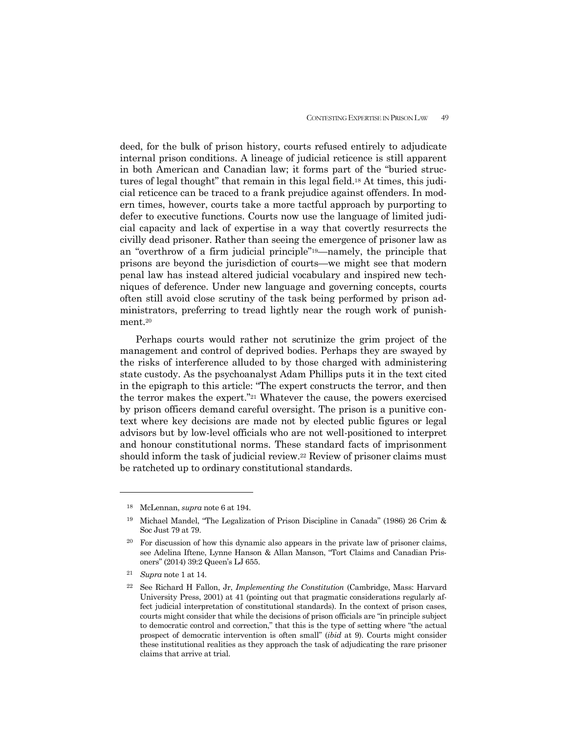deed, for the bulk of prison history, courts refused entirely to adjudicate internal prison conditions. A lineage of judicial reticence is still apparent in both American and Canadian law; it forms part of the "buried structures of legal thought" that remain in this legal field.18 At times, this judicial reticence can be traced to a frank prejudice against offenders. In modern times, however, courts take a more tactful approach by purporting to defer to executive functions. Courts now use the language of limited judicial capacity and lack of expertise in a way that covertly resurrects the civilly dead prisoner. Rather than seeing the emergence of prisoner law as an "overthrow of a firm judicial principle"19—namely, the principle that prisons are beyond the jurisdiction of courts—we might see that modern penal law has instead altered judicial vocabulary and inspired new techniques of deference. Under new language and governing concepts, courts often still avoid close scrutiny of the task being performed by prison administrators, preferring to tread lightly near the rough work of punishment.20

 Perhaps courts would rather not scrutinize the grim project of the management and control of deprived bodies. Perhaps they are swayed by the risks of interference alluded to by those charged with administering state custody. As the psychoanalyst Adam Phillips puts it in the text cited in the epigraph to this article: "The expert constructs the terror, and then the terror makes the expert."21 Whatever the cause, the powers exercised by prison officers demand careful oversight. The prison is a punitive context where key decisions are made not by elected public figures or legal advisors but by low-level officials who are not well-positioned to interpret and honour constitutional norms. These standard facts of imprisonment should inform the task of judicial review.22 Review of prisoner claims must be ratcheted up to ordinary constitutional standards.

<sup>18</sup> McLennan, *supra* note 6 at 194.

<sup>19</sup> Michael Mandel, "The Legalization of Prison Discipline in Canada" (1986) 26 Crim & Soc Just 79 at 79.

<sup>&</sup>lt;sup>20</sup> For discussion of how this dynamic also appears in the private law of prisoner claims, see Adelina Iftene, Lynne Hanson & Allan Manson, "Tort Claims and Canadian Prisoners" (2014) 39:2 Queen's LJ 655.

<sup>21</sup> *Supra* note 1 at 14.

<sup>22</sup> See Richard H Fallon, Jr, *Implementing the Constitution* (Cambridge, Mass: Harvard University Press, 2001) at 41 (pointing out that pragmatic considerations regularly affect judicial interpretation of constitutional standards). In the context of prison cases, courts might consider that while the decisions of prison officials are "in principle subject to democratic control and correction," that this is the type of setting where "the actual prospect of democratic intervention is often small" (*ibid* at 9). Courts might consider these institutional realities as they approach the task of adjudicating the rare prisoner claims that arrive at trial.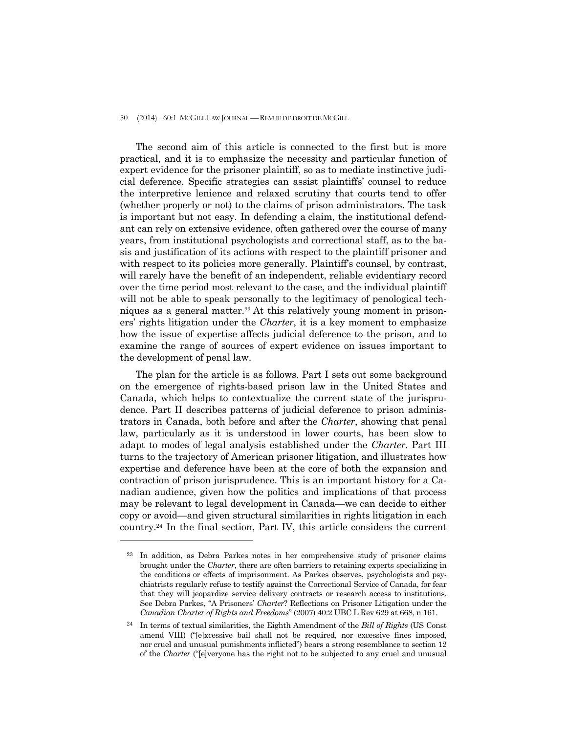#### 50 (2014) 60:1 MCGILL LAW JOURNAL —REVUE DE DROIT DE MCGILL

 The second aim of this article is connected to the first but is more practical, and it is to emphasize the necessity and particular function of expert evidence for the prisoner plaintiff, so as to mediate instinctive judicial deference. Specific strategies can assist plaintiffs' counsel to reduce the interpretive lenience and relaxed scrutiny that courts tend to offer (whether properly or not) to the claims of prison administrators. The task is important but not easy. In defending a claim, the institutional defendant can rely on extensive evidence, often gathered over the course of many years, from institutional psychologists and correctional staff, as to the basis and justification of its actions with respect to the plaintiff prisoner and with respect to its policies more generally. Plaintiff's counsel, by contrast, will rarely have the benefit of an independent, reliable evidentiary record over the time period most relevant to the case, and the individual plaintiff will not be able to speak personally to the legitimacy of penological techniques as a general matter.23 At this relatively young moment in prisoners' rights litigation under the *Charter*, it is a key moment to emphasize how the issue of expertise affects judicial deference to the prison, and to examine the range of sources of expert evidence on issues important to the development of penal law.

 The plan for the article is as follows. Part I sets out some background on the emergence of rights-based prison law in the United States and Canada, which helps to contextualize the current state of the jurisprudence. Part II describes patterns of judicial deference to prison administrators in Canada, both before and after the *Charter*, showing that penal law, particularly as it is understood in lower courts, has been slow to adapt to modes of legal analysis established under the *Charter*. Part III turns to the trajectory of American prisoner litigation, and illustrates how expertise and deference have been at the core of both the expansion and contraction of prison jurisprudence. This is an important history for a Canadian audience, given how the politics and implications of that process may be relevant to legal development in Canada—we can decide to either copy or avoid—and given structural similarities in rights litigation in each country.24 In the final section, Part IV, this article considers the current

In addition, as Debra Parkes notes in her comprehensive study of prisoner claims brought under the *Charter*, there are often barriers to retaining experts specializing in the conditions or effects of imprisonment. As Parkes observes, psychologists and psychiatrists regularly refuse to testify against the Correctional Service of Canada, for fear that they will jeopardize service delivery contracts or research access to institutions. See Debra Parkes, "A Prisoners' *Charter*? Reflections on Prisoner Litigation under the *Canadian Charter of Rights and Freedoms*" (2007) 40:2 UBC L Rev 629 at 668, n 161.

<sup>24</sup> In terms of textual similarities, the Eighth Amendment of the *Bill of Rights* (US Const amend VIII) ("[e]xcessive bail shall not be required, nor excessive fines imposed, nor cruel and unusual punishments inflicted") bears a strong resemblance to section 12 of the *Charter* ("[e]veryone has the right not to be subjected to any cruel and unusual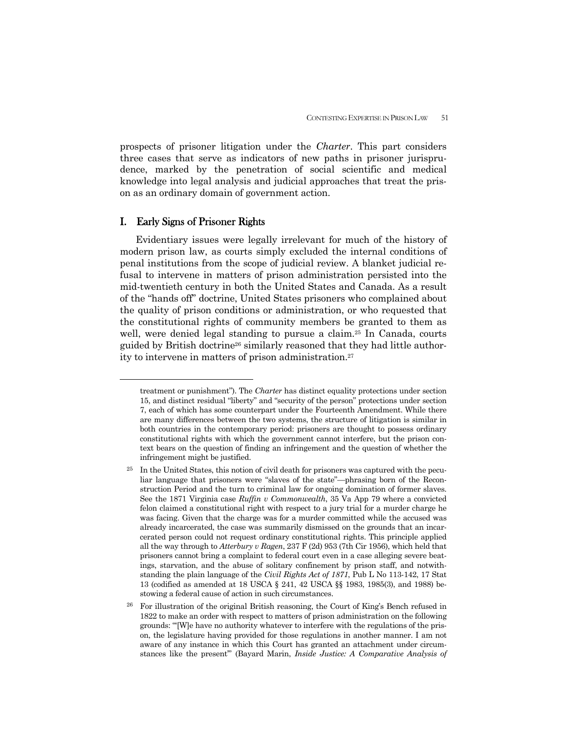prospects of prisoner litigation under the *Charter*. This part considers three cases that serve as indicators of new paths in prisoner jurisprudence, marked by the penetration of social scientific and medical knowledge into legal analysis and judicial approaches that treat the prison as an ordinary domain of government action.

### I. Early Signs of Prisoner Rights

 $\overline{a}$ 

 Evidentiary issues were legally irrelevant for much of the history of modern prison law, as courts simply excluded the internal conditions of penal institutions from the scope of judicial review. A blanket judicial refusal to intervene in matters of prison administration persisted into the mid-twentieth century in both the United States and Canada. As a result of the "hands off" doctrine, United States prisoners who complained about the quality of prison conditions or administration, or who requested that the constitutional rights of community members be granted to them as well, were denied legal standing to pursue a claim.<sup>25</sup> In Canada, courts guided by British doctrine26 similarly reasoned that they had little authority to intervene in matters of prison administration.27

treatment or punishment"). The *Charter* has distinct equality protections under section 15, and distinct residual "liberty" and "security of the person" protections under section 7, each of which has some counterpart under the Fourteenth Amendment. While there are many differences between the two systems, the structure of litigation is similar in both countries in the contemporary period: prisoners are thought to possess ordinary constitutional rights with which the government cannot interfere, but the prison context bears on the question of finding an infringement and the question of whether the infringement might be justified.

 $25$  In the United States, this notion of civil death for prisoners was captured with the peculiar language that prisoners were "slaves of the state"—phrasing born of the Reconstruction Period and the turn to criminal law for ongoing domination of former slaves. See the 1871 Virginia case *Ruffin v Commonwealth*, 35 Va App 79 where a convicted felon claimed a constitutional right with respect to a jury trial for a murder charge he was facing. Given that the charge was for a murder committed while the accused was already incarcerated, the case was summarily dismissed on the grounds that an incarcerated person could not request ordinary constitutional rights. This principle applied all the way through to *Atterbury v Ragen*, 237 F (2d) 953 (7th Cir 1956), which held that prisoners cannot bring a complaint to federal court even in a case alleging severe beatings, starvation, and the abuse of solitary confinement by prison staff, and notwithstanding the plain language of the *Civil Rights Act of 1871*, Pub L No 113-142, 17 Stat 13 (codified as amended at 18 USCA § 241, 42 USCA §§ 1983, 1985(3), and 1988) bestowing a federal cause of action in such circumstances.

<sup>26</sup> For illustration of the original British reasoning, the Court of King's Bench refused in 1822 to make an order with respect to matters of prison administration on the following grounds: "'[W]e have no authority whatever to interfere with the regulations of the prison, the legislature having provided for those regulations in another manner. I am not aware of any instance in which this Court has granted an attachment under circumstances like the present'" (Bayard Marin, *Inside Justice: A Comparative Analysis of*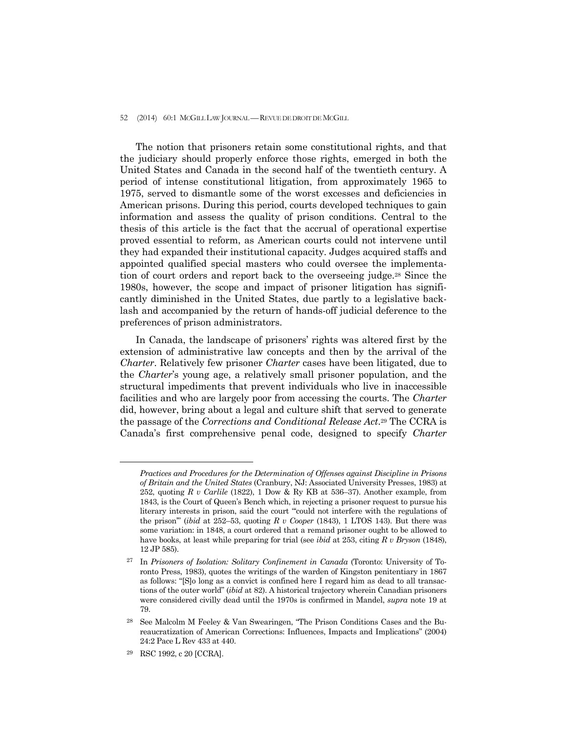#### 52 (2014) 60:1 MCGILL LAW JOURNAL — REVUE DE DROIT DE MCGILL

 The notion that prisoners retain some constitutional rights, and that the judiciary should properly enforce those rights, emerged in both the United States and Canada in the second half of the twentieth century. A period of intense constitutional litigation, from approximately 1965 to 1975, served to dismantle some of the worst excesses and deficiencies in American prisons. During this period, courts developed techniques to gain information and assess the quality of prison conditions. Central to the thesis of this article is the fact that the accrual of operational expertise proved essential to reform, as American courts could not intervene until they had expanded their institutional capacity. Judges acquired staffs and appointed qualified special masters who could oversee the implementation of court orders and report back to the overseeing judge.28 Since the 1980s, however, the scope and impact of prisoner litigation has significantly diminished in the United States, due partly to a legislative backlash and accompanied by the return of hands-off judicial deference to the preferences of prison administrators.

 In Canada, the landscape of prisoners' rights was altered first by the extension of administrative law concepts and then by the arrival of the *Charter*. Relatively few prisoner *Charter* cases have been litigated, due to the *Charter*'s young age, a relatively small prisoner population, and the structural impediments that prevent individuals who live in inaccessible facilities and who are largely poor from accessing the courts. The *Charter* did, however, bring about a legal and culture shift that served to generate the passage of the *Corrections and Conditional Release Act*.29 The CCRA is Canada's first comprehensive penal code, designed to specify *Charter*

*Practices and Procedures for the Determination of Offenses against Discipline in Prisons of Britain and the United States* (Cranbury, NJ: Associated University Presses, 1983) at 252, quoting *R v Carlile* (1822), 1 Dow & Ry KB at 536–37). Another example, from 1843, is the Court of Queen's Bench which, in rejecting a prisoner request to pursue his literary interests in prison, said the court "'could not interfere with the regulations of the prison'" (*ibid* at 252–53, quoting *R v Cooper* (1843), 1 LTOS 143). But there was some variation: in 1848, a court ordered that a remand prisoner ought to be allowed to have books, at least while preparing for trial (see *ibid* at 253, citing *R v Bryson* (1848), 12 JP 585).

<sup>27</sup> In *Prisoners of Isolation: Solitary Confinement in Canada* (Toronto: University of Toronto Press, 1983), quotes the writings of the warden of Kingston penitentiary in 1867 as follows: "[S]o long as a convict is confined here I regard him as dead to all transactions of the outer world" (*ibid* at 82). A historical trajectory wherein Canadian prisoners were considered civilly dead until the 1970s is confirmed in Mandel, *supra* note 19 at 79.

<sup>28</sup> See Malcolm M Feeley & Van Swearingen, "The Prison Conditions Cases and the Bureaucratization of American Corrections: Influences, Impacts and Implications" (2004) 24:2 Pace L Rev 433 at 440.

<sup>29</sup> RSC 1992, c 20 [CCRA].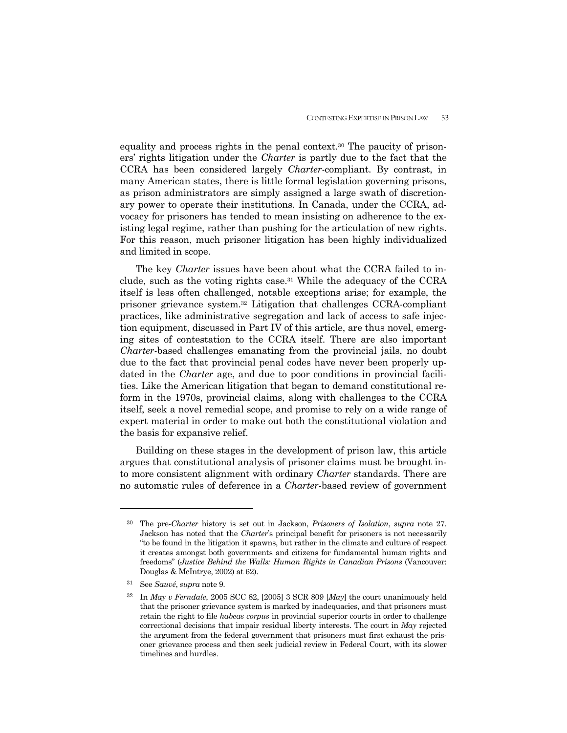equality and process rights in the penal context.30 The paucity of prisoners' rights litigation under the *Charter* is partly due to the fact that the CCRA has been considered largely *Charter*-compliant. By contrast, in many American states, there is little formal legislation governing prisons, as prison administrators are simply assigned a large swath of discretionary power to operate their institutions. In Canada, under the CCRA, advocacy for prisoners has tended to mean insisting on adherence to the existing legal regime, rather than pushing for the articulation of new rights. For this reason, much prisoner litigation has been highly individualized and limited in scope.

 The key *Charter* issues have been about what the CCRA failed to include, such as the voting rights case.<sup>31</sup> While the adequacy of the CCRA itself is less often challenged, notable exceptions arise; for example, the prisoner grievance system.32 Litigation that challenges CCRA-compliant practices, like administrative segregation and lack of access to safe injection equipment, discussed in Part IV of this article, are thus novel, emerging sites of contestation to the CCRA itself. There are also important *Charter*-based challenges emanating from the provincial jails, no doubt due to the fact that provincial penal codes have never been properly updated in the *Charter* age, and due to poor conditions in provincial facilities. Like the American litigation that began to demand constitutional reform in the 1970s, provincial claims, along with challenges to the CCRA itself, seek a novel remedial scope, and promise to rely on a wide range of expert material in order to make out both the constitutional violation and the basis for expansive relief.

 Building on these stages in the development of prison law, this article argues that constitutional analysis of prisoner claims must be brought into more consistent alignment with ordinary *Charter* standards. There are no automatic rules of deference in a *Charter*-based review of government

<sup>30</sup> The pre-*Charter* history is set out in Jackson, *Prisoners of Isolation*, *supra* note 27. Jackson has noted that the *Charter*'s principal benefit for prisoners is not necessarily "to be found in the litigation it spawns, but rather in the climate and culture of respect it creates amongst both governments and citizens for fundamental human rights and freedoms" (*Justice Behind the Walls: Human Rights in Canadian Prisons* (Vancouver: Douglas & McIntrye, 2002) at 62).

<sup>31</sup> See *Sauvé*, *supra* note 9.

<sup>32</sup> In *May v Ferndale*, 2005 SCC 82, [2005] 3 SCR 809 [*May*] the court unanimously held that the prisoner grievance system is marked by inadequacies, and that prisoners must retain the right to file *habeas corpus* in provincial superior courts in order to challenge correctional decisions that impair residual liberty interests. The court in *May* rejected the argument from the federal government that prisoners must first exhaust the prisoner grievance process and then seek judicial review in Federal Court, with its slower timelines and hurdles.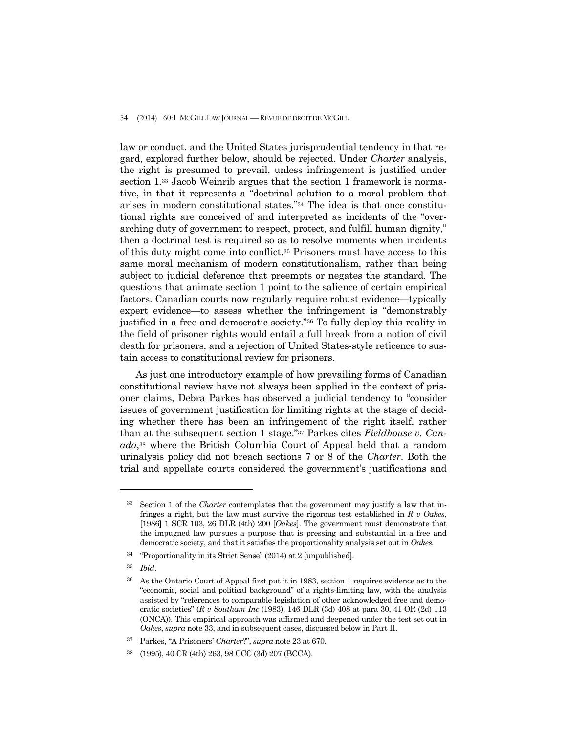law or conduct, and the United States jurisprudential tendency in that regard, explored further below, should be rejected. Under *Charter* analysis, the right is presumed to prevail, unless infringement is justified under section 1.33 Jacob Weinrib argues that the section 1 framework is normative, in that it represents a "doctrinal solution to a moral problem that arises in modern constitutional states."34 The idea is that once constitutional rights are conceived of and interpreted as incidents of the "overarching duty of government to respect, protect, and fulfill human dignity," then a doctrinal test is required so as to resolve moments when incidents of this duty might come into conflict.35 Prisoners must have access to this same moral mechanism of modern constitutionalism, rather than being subject to judicial deference that preempts or negates the standard. The questions that animate section 1 point to the salience of certain empirical factors. Canadian courts now regularly require robust evidence—typically expert evidence—to assess whether the infringement is "demonstrably justified in a free and democratic society."36 To fully deploy this reality in the field of prisoner rights would entail a full break from a notion of civil death for prisoners, and a rejection of United States-style reticence to sustain access to constitutional review for prisoners.

 As just one introductory example of how prevailing forms of Canadian constitutional review have not always been applied in the context of prisoner claims, Debra Parkes has observed a judicial tendency to "consider issues of government justification for limiting rights at the stage of deciding whether there has been an infringement of the right itself, rather than at the subsequent section 1 stage."37 Parkes cites *Fieldhouse v. Canada*,38 where the British Columbia Court of Appeal held that a random urinalysis policy did not breach sections 7 or 8 of the *Charter*. Both the trial and appellate courts considered the government's justifications and

<sup>33</sup> Section 1 of the *Charter* contemplates that the government may justify a law that infringes a right, but the law must survive the rigorous test established in *R v Oakes*, [1986] 1 SCR 103, 26 DLR (4th) 200 [*Oakes*]. The government must demonstrate that the impugned law pursues a purpose that is pressing and substantial in a free and democratic society, and that it satisfies the proportionality analysis set out in *Oakes.* 

<sup>34 &</sup>quot;Proportionality in its Strict Sense" (2014) at 2 [unpublished].

<sup>35</sup> *Ibid*.

<sup>36</sup> As the Ontario Court of Appeal first put it in 1983, section 1 requires evidence as to the "economic, social and political background" of a rights-limiting law, with the analysis assisted by "references to comparable legislation of other acknowledged free and democratic societies" (*R v Southam Inc* (1983), 146 DLR (3d) 408 at para 30, 41 OR (2d) 113 (ONCA)). This empirical approach was affirmed and deepened under the test set out in *Oakes*, *supra* note 33, and in subsequent cases, discussed below in Part II.

<sup>37</sup> Parkes, "A Prisoners' *Charter*?", *supra* note 23 at 670.

<sup>38 (1995), 40</sup> CR (4th) 263, 98 CCC (3d) 207 (BCCA).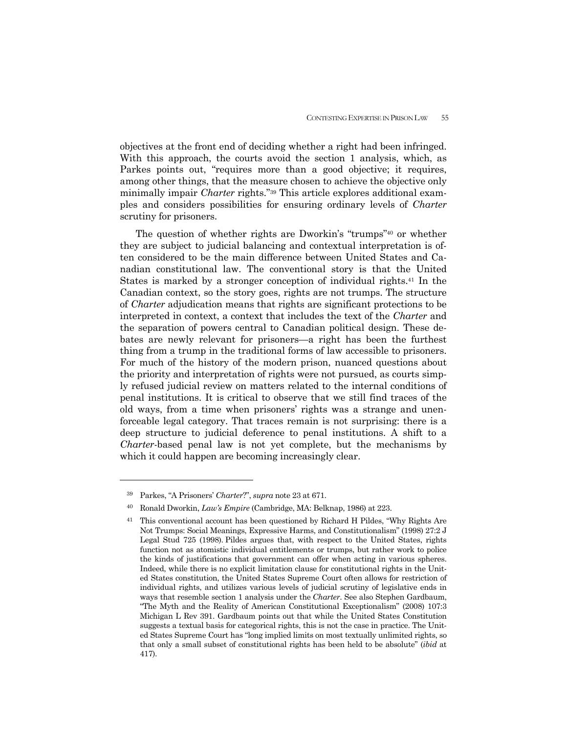objectives at the front end of deciding whether a right had been infringed. With this approach, the courts avoid the section 1 analysis, which, as Parkes points out, "requires more than a good objective; it requires, among other things, that the measure chosen to achieve the objective only minimally impair *Charter* rights."39 This article explores additional examples and considers possibilities for ensuring ordinary levels of *Charter*  scrutiny for prisoners.

 The question of whether rights are Dworkin's "trumps"40 or whether they are subject to judicial balancing and contextual interpretation is often considered to be the main difference between United States and Canadian constitutional law. The conventional story is that the United States is marked by a stronger conception of individual rights.41 In the Canadian context, so the story goes, rights are not trumps. The structure of *Charter* adjudication means that rights are significant protections to be interpreted in context, a context that includes the text of the *Charter* and the separation of powers central to Canadian political design. These debates are newly relevant for prisoners—a right has been the furthest thing from a trump in the traditional forms of law accessible to prisoners. For much of the history of the modern prison, nuanced questions about the priority and interpretation of rights were not pursued, as courts simply refused judicial review on matters related to the internal conditions of penal institutions. It is critical to observe that we still find traces of the old ways, from a time when prisoners' rights was a strange and unenforceable legal category. That traces remain is not surprising: there is a deep structure to judicial deference to penal institutions. A shift to a *Charter*-based penal law is not yet complete, but the mechanisms by which it could happen are becoming increasingly clear.

<sup>39</sup> Parkes, "A Prisoners' *Charter*?", *supra* note 23 at 671.

<sup>40</sup> Ronald Dworkin, *Law's Empire* (Cambridge, MA: Belknap, 1986) at 223.

<sup>&</sup>lt;sup>41</sup> This conventional account has been questioned by Richard H Pildes, "Why Rights Are Not Trumps: Social Meanings, Expressive Harms, and Constitutionalism" (1998) 27:2 J Legal Stud 725 (1998). Pildes argues that, with respect to the United States, rights function not as atomistic individual entitlements or trumps, but rather work to police the kinds of justifications that government can offer when acting in various spheres. Indeed, while there is no explicit limitation clause for constitutional rights in the United States constitution, the United States Supreme Court often allows for restriction of individual rights, and utilizes various levels of judicial scrutiny of legislative ends in ways that resemble section 1 analysis under the *Charter*. See also Stephen Gardbaum, "The Myth and the Reality of American Constitutional Exceptionalism" (2008) 107:3 Michigan L Rev 391. Gardbaum points out that while the United States Constitution suggests a textual basis for categorical rights, this is not the case in practice. The United States Supreme Court has "long implied limits on most textually unlimited rights, so that only a small subset of constitutional rights has been held to be absolute" (*ibid* at 417).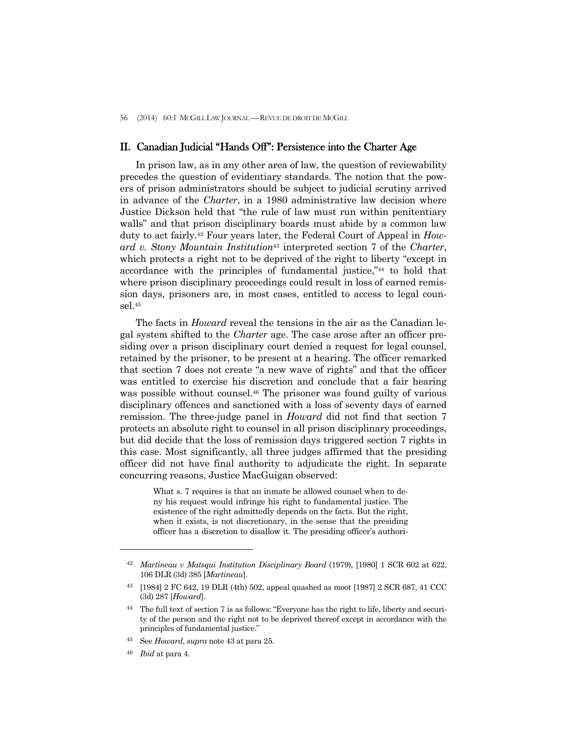## II. Canadian Judicial "Hands Off": Persistence into the Charter Age

 In prison law, as in any other area of law, the question of reviewability precedes the question of evidentiary standards. The notion that the powers of prison administrators should be subject to judicial scrutiny arrived in advance of the *Charter*, in a 1980 administrative law decision where Justice Dickson held that "the rule of law must run within penitentiary walls" and that prison disciplinary boards must abide by a common law duty to act fairly.42 Four years later, the Federal Court of Appeal in *Howard v. Stony Mountain Institution*43 interpreted section 7 of the *Charter*, which protects a right not to be deprived of the right to liberty "except in accordance with the principles of fundamental justice,"44 to hold that where prison disciplinary proceedings could result in loss of earned remission days, prisoners are, in most cases, entitled to access to legal counsel.45

 The facts in *Howard* reveal the tensions in the air as the Canadian legal system shifted to the *Charter* age. The case arose after an officer presiding over a prison disciplinary court denied a request for legal counsel, retained by the prisoner, to be present at a hearing. The officer remarked that section 7 does not create "a new wave of rights" and that the officer was entitled to exercise his discretion and conclude that a fair hearing was possible without counsel.46 The prisoner was found guilty of various disciplinary offences and sanctioned with a loss of seventy days of earned remission. The three-judge panel in *Howard* did not find that section 7 protects an absolute right to counsel in all prison disciplinary proceedings, but did decide that the loss of remission days triggered section 7 rights in this case. Most significantly, all three judges affirmed that the presiding officer did not have final authority to adjudicate the right. In separate concurring reasons, Justice MacGuigan observed:

> What s. 7 requires is that an inmate be allowed counsel when to deny his request would infringe his right to fundamental justice. The existence of the right admittedly depends on the facts. But the right, when it exists, is not discretionary, in the sense that the presiding officer has a discretion to disallow it. The presiding officer's authori-

<sup>42</sup> *Martineau v Matsqui Institution Disciplinary Board* (1979), [1980] 1 SCR 602 at 622, 106 DLR (3d) 385 [*Martineau*].

<sup>43 [1984] 2</sup> FC 642, 19 DLR (4th) 502, appeal quashed as moot [1987] 2 SCR 687, 41 CCC (3d) 287 [*Howard*].

<sup>44</sup> The full text of section 7 is as follows: "Everyone has the right to life, liberty and security of the person and the right not to be deprived thereof except in accordance with the principles of fundamental justice."

<sup>45</sup> See *Howard*, *supra* note 43 at para 25.

<sup>46</sup> *Ibid* at para 4.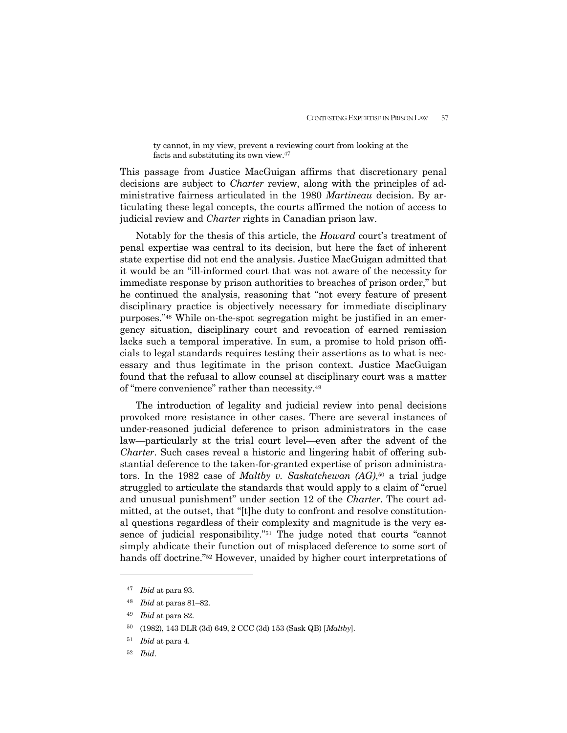ty cannot, in my view, prevent a reviewing court from looking at the facts and substituting its own view.47

This passage from Justice MacGuigan affirms that discretionary penal decisions are subject to *Charter* review, along with the principles of administrative fairness articulated in the 1980 *Martineau* decision. By articulating these legal concepts, the courts affirmed the notion of access to judicial review and *Charter* rights in Canadian prison law.

 Notably for the thesis of this article, the *Howard* court's treatment of penal expertise was central to its decision, but here the fact of inherent state expertise did not end the analysis. Justice MacGuigan admitted that it would be an "ill-informed court that was not aware of the necessity for immediate response by prison authorities to breaches of prison order," but he continued the analysis, reasoning that "not every feature of present disciplinary practice is objectively necessary for immediate disciplinary purposes."48 While on-the-spot segregation might be justified in an emergency situation, disciplinary court and revocation of earned remission lacks such a temporal imperative. In sum, a promise to hold prison officials to legal standards requires testing their assertions as to what is necessary and thus legitimate in the prison context. Justice MacGuigan found that the refusal to allow counsel at disciplinary court was a matter of "mere convenience" rather than necessity.49

 The introduction of legality and judicial review into penal decisions provoked more resistance in other cases. There are several instances of under-reasoned judicial deference to prison administrators in the case law—particularly at the trial court level—even after the advent of the *Charter*. Such cases reveal a historic and lingering habit of offering substantial deference to the taken-for-granted expertise of prison administrators. In the 1982 case of *Maltby v. Saskatchewan (AG)*,50 a trial judge struggled to articulate the standards that would apply to a claim of "cruel and unusual punishment" under section 12 of the *Charter*. The court admitted, at the outset, that "[t]he duty to confront and resolve constitutional questions regardless of their complexity and magnitude is the very essence of judicial responsibility."51 The judge noted that courts "cannot simply abdicate their function out of misplaced deference to some sort of hands off doctrine."52 However, unaided by higher court interpretations of

<sup>47</sup> *Ibid* at para 93.

<sup>48</sup> *Ibid* at paras 81–82.

<sup>49</sup> *Ibid* at para 82.

<sup>50 (1982), 143</sup> DLR (3d) 649, 2 CCC (3d) 153 (Sask QB) [*Maltby*].

<sup>51</sup> *Ibid* at para 4.

<sup>52</sup> *Ibid*.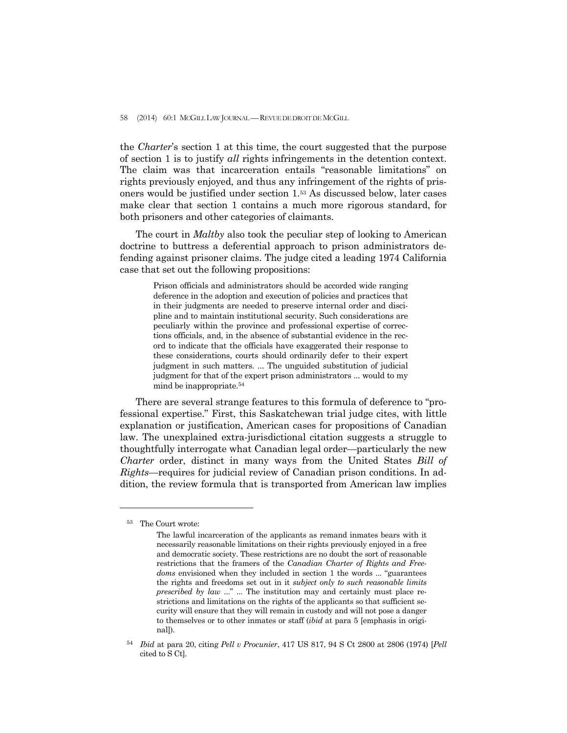58 (2014) 60:1 MCGILL LAW JOURNAL — REVUE DE DROIT DE MCGILL

the *Charter*'s section 1 at this time, the court suggested that the purpose of section 1 is to justify *all* rights infringements in the detention context. The claim was that incarceration entails "reasonable limitations" on rights previously enjoyed, and thus any infringement of the rights of prisoners would be justified under section 1.53 As discussed below, later cases make clear that section 1 contains a much more rigorous standard, for both prisoners and other categories of claimants.

 The court in *Maltby* also took the peculiar step of looking to American doctrine to buttress a deferential approach to prison administrators defending against prisoner claims. The judge cited a leading 1974 California case that set out the following propositions:

> Prison officials and administrators should be accorded wide ranging deference in the adoption and execution of policies and practices that in their judgments are needed to preserve internal order and discipline and to maintain institutional security. Such considerations are peculiarly within the province and professional expertise of corrections officials, and, in the absence of substantial evidence in the record to indicate that the officials have exaggerated their response to these considerations, courts should ordinarily defer to their expert judgment in such matters. ... The unguided substitution of judicial judgment for that of the expert prison administrators ... would to my mind be inappropriate.54

 There are several strange features to this formula of deference to "professional expertise." First, this Saskatchewan trial judge cites, with little explanation or justification, American cases for propositions of Canadian law. The unexplained extra-jurisdictional citation suggests a struggle to thoughtfully interrogate what Canadian legal order—particularly the new *Charter* order, distinct in many ways from the United States *Bill of Rights*—requires for judicial review of Canadian prison conditions. In addition, the review formula that is transported from American law implies

<sup>53</sup>The Court wrote:

The lawful incarceration of the applicants as remand inmates bears with it necessarily reasonable limitations on their rights previously enjoyed in a free and democratic society. These restrictions are no doubt the sort of reasonable restrictions that the framers of the *Canadian Charter of Rights and Freedoms* envisioned when they included in section 1 the words ... "guarantees the rights and freedoms set out in it *subject only to such reasonable limits prescribed by law* ..." ... The institution may and certainly must place restrictions and limitations on the rights of the applicants so that sufficient security will ensure that they will remain in custody and will not pose a danger to themselves or to other inmates or staff (*ibid* at para 5 [emphasis in original]).

<sup>54</sup> *Ibid* at para 20, citing *Pell v Procunier*, 417 US 817, 94 S Ct 2800 at 2806 (1974) [*Pell*  cited to S Ct].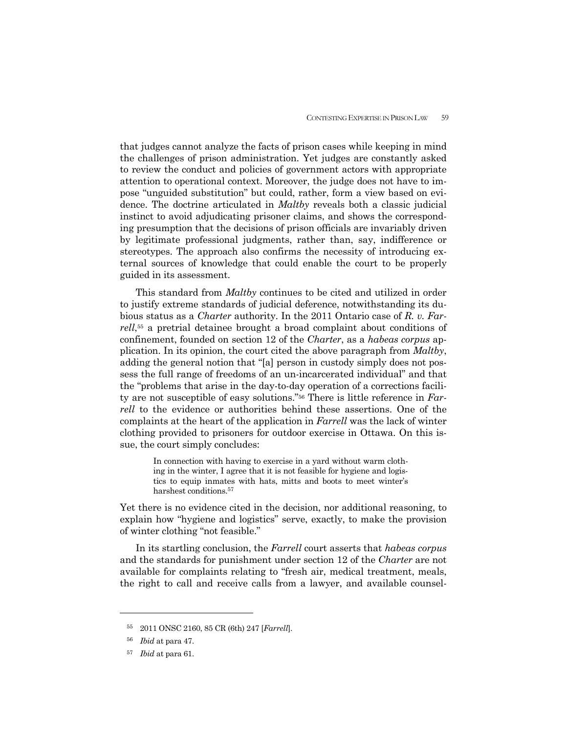that judges cannot analyze the facts of prison cases while keeping in mind the challenges of prison administration. Yet judges are constantly asked to review the conduct and policies of government actors with appropriate attention to operational context. Moreover, the judge does not have to impose "unguided substitution" but could, rather, form a view based on evidence. The doctrine articulated in *Maltby* reveals both a classic judicial instinct to avoid adjudicating prisoner claims, and shows the corresponding presumption that the decisions of prison officials are invariably driven by legitimate professional judgments, rather than, say, indifference or stereotypes. The approach also confirms the necessity of introducing external sources of knowledge that could enable the court to be properly guided in its assessment.

 This standard from *Maltby* continues to be cited and utilized in order to justify extreme standards of judicial deference, notwithstanding its dubious status as a *Charter* authority. In the 2011 Ontario case of *R. v. Farrell*,55 a pretrial detainee brought a broad complaint about conditions of confinement, founded on section 12 of the *Charter*, as a *habeas corpus* application. In its opinion, the court cited the above paragraph from *Maltby*, adding the general notion that "[a] person in custody simply does not possess the full range of freedoms of an un-incarcerated individual" and that the "problems that arise in the day-to-day operation of a corrections facility are not susceptible of easy solutions."56 There is little reference in *Farrell* to the evidence or authorities behind these assertions. One of the complaints at the heart of the application in *Farrell* was the lack of winter clothing provided to prisoners for outdoor exercise in Ottawa. On this issue, the court simply concludes:

> In connection with having to exercise in a yard without warm clothing in the winter, I agree that it is not feasible for hygiene and logistics to equip inmates with hats, mitts and boots to meet winter's harshest conditions.<sup>57</sup>

Yet there is no evidence cited in the decision, nor additional reasoning, to explain how "hygiene and logistics" serve, exactly, to make the provision of winter clothing "not feasible."

 In its startling conclusion, the *Farrell* court asserts that *habeas corpus* and the standards for punishment under section 12 of the *Charter* are not available for complaints relating to "fresh air, medical treatment, meals, the right to call and receive calls from a lawyer, and available counsel-

<sup>55 2011</sup> ONSC 2160, 85 CR (6th) 247 [*Farrell*].

<sup>56</sup> *Ibid* at para 47.

<sup>57</sup> *Ibid* at para 61.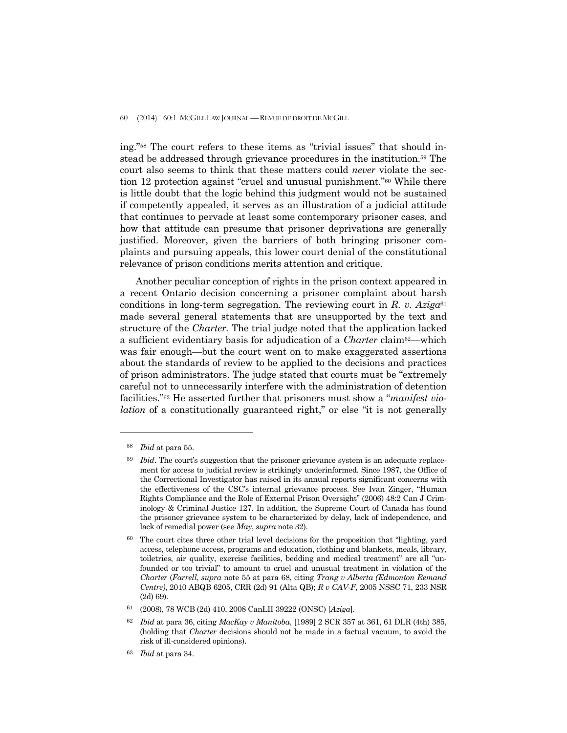#### 60 (2014) 60:1 MCGILL LAW JOURNAL —REVUE DE DROIT DE MCGILL

ing."58 The court refers to these items as "trivial issues" that should instead be addressed through grievance procedures in the institution.59 The court also seems to think that these matters could *never* violate the section 12 protection against "cruel and unusual punishment."60 While there is little doubt that the logic behind this judgment would not be sustained if competently appealed, it serves as an illustration of a judicial attitude that continues to pervade at least some contemporary prisoner cases, and how that attitude can presume that prisoner deprivations are generally justified. Moreover, given the barriers of both bringing prisoner complaints and pursuing appeals, this lower court denial of the constitutional relevance of prison conditions merits attention and critique.

 Another peculiar conception of rights in the prison context appeared in a recent Ontario decision concerning a prisoner complaint about harsh conditions in long-term segregation. The reviewing court in  $R$ . v.  $Aziga^{61}$ made several general statements that are unsupported by the text and structure of the *Charter.* The trial judge noted that the application lacked a sufficient evidentiary basis for adjudication of a *Charter* claim<sup>62</sup>—which was fair enough—but the court went on to make exaggerated assertions about the standards of review to be applied to the decisions and practices of prison administrators. The judge stated that courts must be "extremely careful not to unnecessarily interfere with the administration of detention facilities."63 He asserted further that prisoners must show a "*manifest violation* of a constitutionally guaranteed right," or else "it is not generally

<sup>58</sup> *Ibid* at para 55.

<sup>&</sup>lt;sup>59</sup> *Ibid*. The court's suggestion that the prisoner grievance system is an adequate replacement for access to judicial review is strikingly underinformed. Since 1987, the Office of the Correctional Investigator has raised in its annual reports significant concerns with the effectiveness of the CSC's internal grievance process. See Ivan Zinger, "Human Rights Compliance and the Role of External Prison Oversight" (2006) 48:2 Can J Criminology & Criminal Justice 127. In addition, the Supreme Court of Canada has found the prisoner grievance system to be characterized by delay, lack of independence, and lack of remedial power (see *May*, *supra* note 32).

 $60$  The court cites three other trial level decisions for the proposition that "lighting, yard access, telephone access, programs and education, clothing and blankets, meals, library, toiletries, air quality, exercise facilities, bedding and medical treatment" are all "unfounded or too trivial" to amount to cruel and unusual treatment in violation of the *Charter* (*Farrell*, *supra* note 55 at para 68, citing *Trang v Alberta (Edmonton Remand Centre)*, 2010 ABQB 6205, CRR (2d) 91 (Alta QB); *R v CAV-F*, 2005 NSSC 71, 233 NSR (2d) 69).

<sup>61 (2008), 78</sup> WCB (2d) 410, 2008 CanLII 39222 (ONSC) [*Aziga*].

<sup>62</sup> *Ibid* at para 36, citing *MacKay v Manitoba*, [1989] 2 SCR 357 at 361, 61 DLR (4th) 385, (holding that *Charter* decisions should not be made in a factual vacuum, to avoid the risk of ill-considered opinions).

<sup>63</sup> *Ibid* at para 34.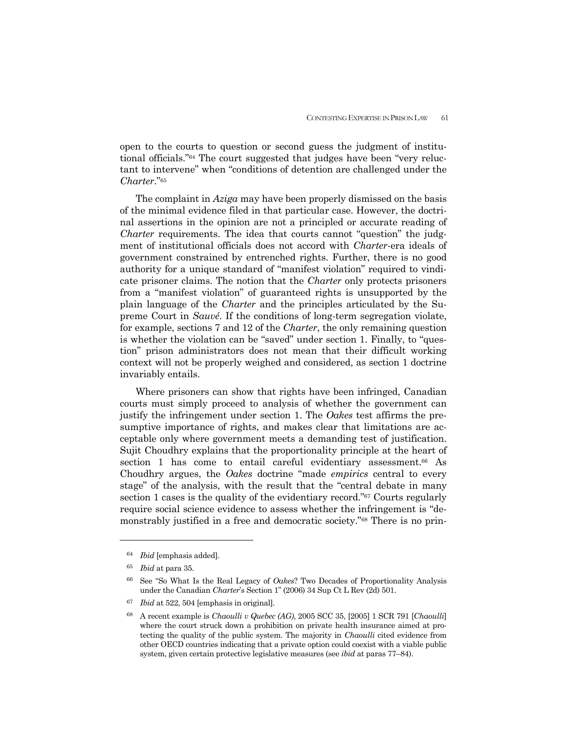open to the courts to question or second guess the judgment of institutional officials."64 The court suggested that judges have been "very reluctant to intervene" when "conditions of detention are challenged under the *Charter*."65

 The complaint in *Aziga* may have been properly dismissed on the basis of the minimal evidence filed in that particular case. However, the doctrinal assertions in the opinion are not a principled or accurate reading of *Charter* requirements. The idea that courts cannot "question" the judgment of institutional officials does not accord with *Charter*-era ideals of government constrained by entrenched rights. Further, there is no good authority for a unique standard of "manifest violation" required to vindicate prisoner claims. The notion that the *Charter* only protects prisoners from a "manifest violation" of guaranteed rights is unsupported by the plain language of the *Charter* and the principles articulated by the Supreme Court in *Sauvé*. If the conditions of long-term segregation violate, for example, sections 7 and 12 of the *Charter*, the only remaining question is whether the violation can be "saved" under section 1. Finally, to "question" prison administrators does not mean that their difficult working context will not be properly weighed and considered, as section 1 doctrine invariably entails.

 Where prisoners can show that rights have been infringed, Canadian courts must simply proceed to analysis of whether the government can justify the infringement under section 1. The *Oakes* test affirms the presumptive importance of rights, and makes clear that limitations are acceptable only where government meets a demanding test of justification. Sujit Choudhry explains that the proportionality principle at the heart of section 1 has come to entail careful evidentiary assessment.<sup>66</sup> As Choudhry argues, the *Oakes* doctrine "made *empirics* central to every stage" of the analysis, with the result that the "central debate in many section 1 cases is the quality of the evidentiary record."67 Courts regularly require social science evidence to assess whether the infringement is "demonstrably justified in a free and democratic society."68 There is no prin-

-

<sup>67</sup> *Ibid* at 522, 504 [emphasis in original].

<sup>64</sup> *Ibid* [emphasis added].

<sup>65</sup> *Ibid* at para 35.

<sup>66</sup> See "So What Is the Real Legacy of *Oakes*? Two Decades of Proportionality Analysis under the Canadian *Charter*'s Section 1" (2006) 34 Sup Ct L Rev (2d) 501.

<sup>68</sup> A recent example is *Chaoulli v Quebec (AG)*, 2005 SCC 35, [2005] 1 SCR 791 [*Chaoulli*] where the court struck down a prohibition on private health insurance aimed at protecting the quality of the public system. The majority in *Chaoulli* cited evidence from other OECD countries indicating that a private option could coexist with a viable public system, given certain protective legislative measures (see *ibid* at paras 77–84).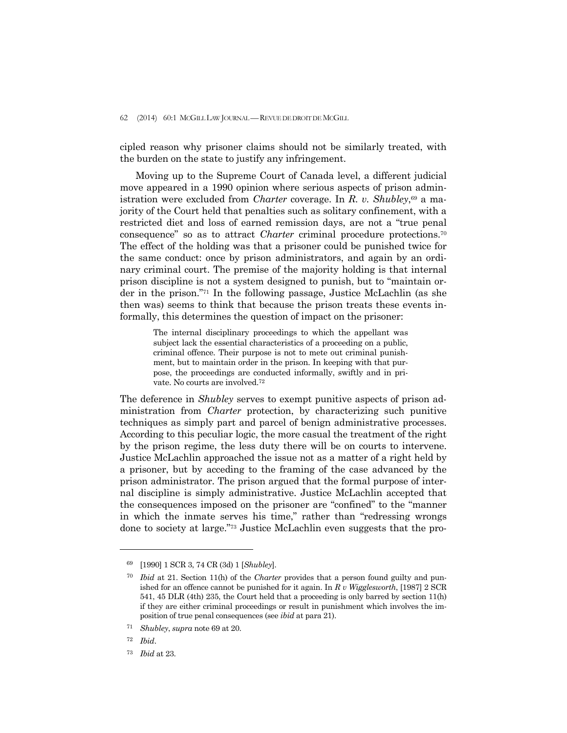cipled reason why prisoner claims should not be similarly treated, with the burden on the state to justify any infringement.

 Moving up to the Supreme Court of Canada level, a different judicial move appeared in a 1990 opinion where serious aspects of prison administration were excluded from *Charter* coverage. In *R. v. Shubley*,<sup>69</sup> a majority of the Court held that penalties such as solitary confinement, with a restricted diet and loss of earned remission days, are not a "true penal consequence" so as to attract *Charter* criminal procedure protections.70 The effect of the holding was that a prisoner could be punished twice for the same conduct: once by prison administrators, and again by an ordinary criminal court. The premise of the majority holding is that internal prison discipline is not a system designed to punish, but to "maintain order in the prison."71 In the following passage, Justice McLachlin (as she then was) seems to think that because the prison treats these events informally, this determines the question of impact on the prisoner:

> The internal disciplinary proceedings to which the appellant was subject lack the essential characteristics of a proceeding on a public, criminal offence. Their purpose is not to mete out criminal punishment, but to maintain order in the prison. In keeping with that purpose, the proceedings are conducted informally, swiftly and in private. No courts are involved.72

The deference in *Shubley* serves to exempt punitive aspects of prison administration from *Charter* protection, by characterizing such punitive techniques as simply part and parcel of benign administrative processes. According to this peculiar logic, the more casual the treatment of the right by the prison regime, the less duty there will be on courts to intervene. Justice McLachlin approached the issue not as a matter of a right held by a prisoner, but by acceding to the framing of the case advanced by the prison administrator. The prison argued that the formal purpose of internal discipline is simply administrative. Justice McLachlin accepted that the consequences imposed on the prisoner are "confined" to the "manner in which the inmate serves his time," rather than "redressing wrongs done to society at large."73 Justice McLachlin even suggests that the pro-

<sup>69 [1990] 1</sup> SCR 3, 74 CR (3d) 1 [*Shubley*].

<sup>70</sup> *Ibid* at 21. Section 11(h) of the *Charter* provides that a person found guilty and punished for an offence cannot be punished for it again. In *R v Wigglesworth*, [1987] 2 SCR 541, 45 DLR (4th) 235, the Court held that a proceeding is only barred by section 11(h) if they are either criminal proceedings or result in punishment which involves the imposition of true penal consequences (see *ibid* at para 21).

<sup>71</sup> *Shubley*, *supra* note 69 at 20.

<sup>72</sup> *Ibid*.

<sup>73</sup> *Ibid* at 23.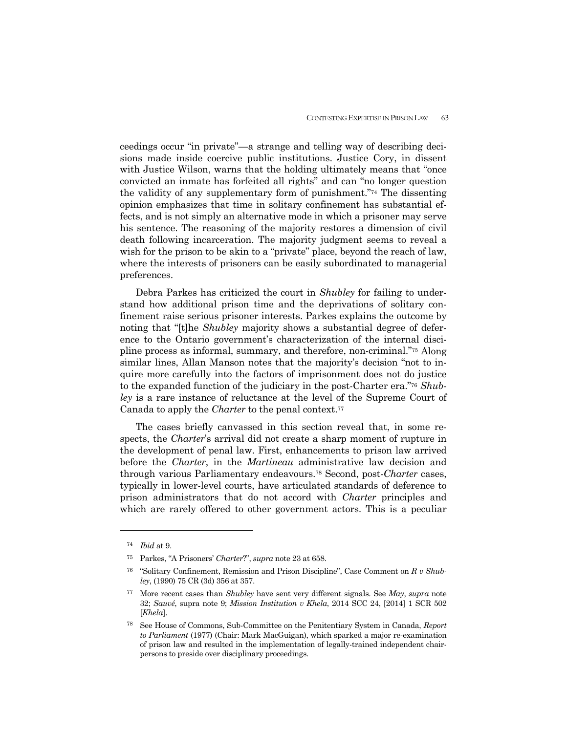ceedings occur "in private"—a strange and telling way of describing decisions made inside coercive public institutions. Justice Cory, in dissent with Justice Wilson, warns that the holding ultimately means that "once convicted an inmate has forfeited all rights" and can "no longer question the validity of any supplementary form of punishment."74 The dissenting opinion emphasizes that time in solitary confinement has substantial effects, and is not simply an alternative mode in which a prisoner may serve his sentence. The reasoning of the majority restores a dimension of civil death following incarceration. The majority judgment seems to reveal a wish for the prison to be akin to a "private" place, beyond the reach of law, where the interests of prisoners can be easily subordinated to managerial preferences.

 Debra Parkes has criticized the court in *Shubley* for failing to understand how additional prison time and the deprivations of solitary confinement raise serious prisoner interests. Parkes explains the outcome by noting that "[t]he *Shubley* majority shows a substantial degree of deference to the Ontario government's characterization of the internal discipline process as informal, summary, and therefore, non-criminal."75 Along similar lines, Allan Manson notes that the majority's decision "not to inquire more carefully into the factors of imprisonment does not do justice to the expanded function of the judiciary in the post-Charter era."76 *Shubley* is a rare instance of reluctance at the level of the Supreme Court of Canada to apply the *Charter* to the penal context.<sup>77</sup>

 The cases briefly canvassed in this section reveal that, in some respects, the *Charter*'s arrival did not create a sharp moment of rupture in the development of penal law. First, enhancements to prison law arrived before the *Charter*, in the *Martineau* administrative law decision and through various Parliamentary endeavours.78 Second, post-*Charter* cases, typically in lower-level courts, have articulated standards of deference to prison administrators that do not accord with *Charter* principles and which are rarely offered to other government actors. This is a peculiar

<sup>74</sup> *Ibid* at 9.

<sup>75</sup> Parkes, "A Prisoners' *Charter*?", *supra* note 23 at 658.

<sup>76 &</sup>quot;Solitary Confinement, Remission and Prison Discipline", Case Comment on *R v Shubley*, (1990) 75 CR (3d) 356 at 357.

<sup>77</sup> More recent cases than *Shubley* have sent very different signals. See *May*, *supra* note 32; *Sauvé*, supra note 9; *Mission Institution v Khela*, 2014 SCC 24, [2014] 1 SCR 502 [*Khela*].

<sup>78</sup> See House of Commons, Sub-Committee on the Penitentiary System in Canada, *Report to Parliament* (1977) (Chair: Mark MacGuigan), which sparked a major re-examination of prison law and resulted in the implementation of legally-trained independent chairpersons to preside over disciplinary proceedings.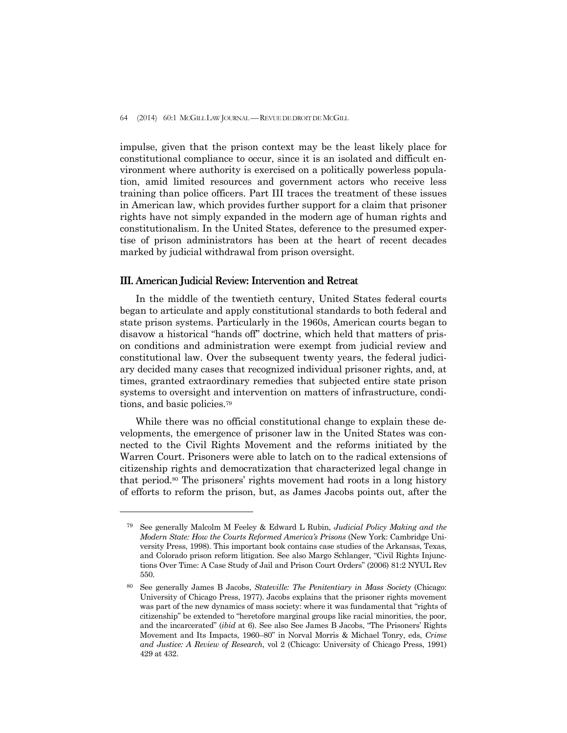impulse, given that the prison context may be the least likely place for constitutional compliance to occur, since it is an isolated and difficult environment where authority is exercised on a politically powerless population, amid limited resources and government actors who receive less training than police officers. Part III traces the treatment of these issues in American law, which provides further support for a claim that prisoner rights have not simply expanded in the modern age of human rights and constitutionalism. In the United States, deference to the presumed expertise of prison administrators has been at the heart of recent decades marked by judicial withdrawal from prison oversight.

### III. American Judicial Review: Intervention and Retreat

-

 In the middle of the twentieth century, United States federal courts began to articulate and apply constitutional standards to both federal and state prison systems. Particularly in the 1960s, American courts began to disavow a historical "hands off" doctrine, which held that matters of prison conditions and administration were exempt from judicial review and constitutional law. Over the subsequent twenty years, the federal judiciary decided many cases that recognized individual prisoner rights, and, at times, granted extraordinary remedies that subjected entire state prison systems to oversight and intervention on matters of infrastructure, conditions, and basic policies.79

 While there was no official constitutional change to explain these developments, the emergence of prisoner law in the United States was connected to the Civil Rights Movement and the reforms initiated by the Warren Court. Prisoners were able to latch on to the radical extensions of citizenship rights and democratization that characterized legal change in that period.80 The prisoners' rights movement had roots in a long history of efforts to reform the prison, but, as James Jacobs points out, after the

<sup>79</sup> See generally Malcolm M Feeley & Edward L Rubin, *Judicial Policy Making and the Modern State: How the Courts Reformed America's Prisons* (New York: Cambridge University Press, 1998). This important book contains case studies of the Arkansas, Texas, and Colorado prison reform litigation. See also Margo Schlanger, "Civil Rights Injunctions Over Time: A Case Study of Jail and Prison Court Orders" (2006) 81:2 NYUL Rev 550.

<sup>80</sup> See generally James B Jacobs, *Stateville: The Penitentiary in Mass Society* (Chicago: University of Chicago Press, 1977). Jacobs explains that the prisoner rights movement was part of the new dynamics of mass society: where it was fundamental that "rights of citizenship" be extended to "heretofore marginal groups like racial minorities, the poor, and the incarcerated" (*ibid* at 6). See also See James B Jacobs, "The Prisoners' Rights Movement and Its Impacts, 1960–80" in Norval Morris & Michael Tonry, eds, *Crime and Justice: A Review of Research*, vol 2 (Chicago: University of Chicago Press, 1991) 429 at 432.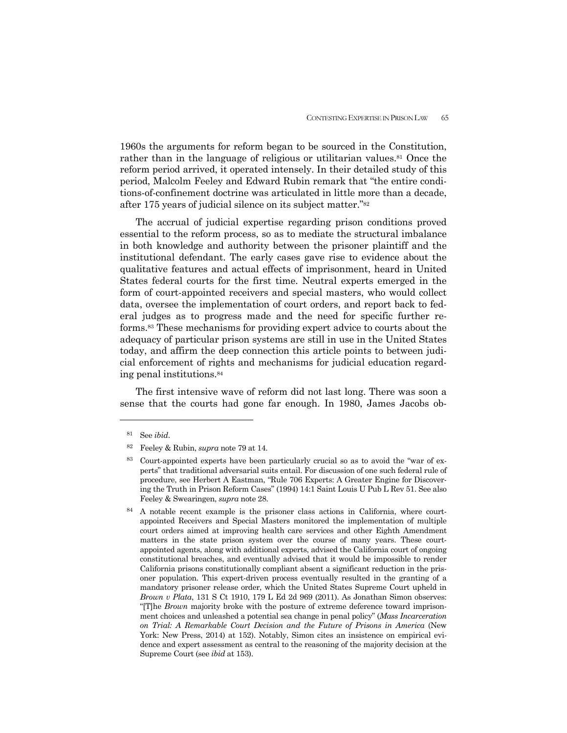1960s the arguments for reform began to be sourced in the Constitution, rather than in the language of religious or utilitarian values.<sup>81</sup> Once the reform period arrived, it operated intensely. In their detailed study of this period, Malcolm Feeley and Edward Rubin remark that "the entire conditions-of-confinement doctrine was articulated in little more than a decade, after 175 years of judicial silence on its subject matter."82

 The accrual of judicial expertise regarding prison conditions proved essential to the reform process, so as to mediate the structural imbalance in both knowledge and authority between the prisoner plaintiff and the institutional defendant. The early cases gave rise to evidence about the qualitative features and actual effects of imprisonment, heard in United States federal courts for the first time. Neutral experts emerged in the form of court-appointed receivers and special masters, who would collect data, oversee the implementation of court orders, and report back to federal judges as to progress made and the need for specific further reforms.83 These mechanisms for providing expert advice to courts about the adequacy of particular prison systems are still in use in the United States today, and affirm the deep connection this article points to between judicial enforcement of rights and mechanisms for judicial education regarding penal institutions.84

 The first intensive wave of reform did not last long. There was soon a sense that the courts had gone far enough. In 1980, James Jacobs ob-

<sup>81</sup> See *ibid*.

<sup>82</sup> Feeley & Rubin, *supra* note 79 at 14.

<sup>83</sup> Court-appointed experts have been particularly crucial so as to avoid the "war of experts" that traditional adversarial suits entail. For discussion of one such federal rule of procedure, see Herbert A Eastman, "Rule 706 Experts: A Greater Engine for Discovering the Truth in Prison Reform Cases" (1994) 14:1 Saint Louis U Pub L Rev 51. See also Feeley & Swearingen, *supra* note 28.

<sup>84</sup> A notable recent example is the prisoner class actions in California, where courtappointed Receivers and Special Masters monitored the implementation of multiple court orders aimed at improving health care services and other Eighth Amendment matters in the state prison system over the course of many years. These courtappointed agents, along with additional experts, advised the California court of ongoing constitutional breaches, and eventually advised that it would be impossible to render California prisons constitutionally compliant absent a significant reduction in the prisoner population. This expert-driven process eventually resulted in the granting of a mandatory prisoner release order, which the United States Supreme Court upheld in *Brown v Plata*, 131 S Ct 1910, 179 L Ed 2d 969 (2011). As Jonathan Simon observes: "[T]he *Brown* majority broke with the posture of extreme deference toward imprisonment choices and unleashed a potential sea change in penal policy" (*Mass Incarceration on Trial: A Remarkable Court Decision and the Future of Prisons in America* (New York: New Press, 2014) at 152). Notably, Simon cites an insistence on empirical evidence and expert assessment as central to the reasoning of the majority decision at the Supreme Court (see *ibid* at 153).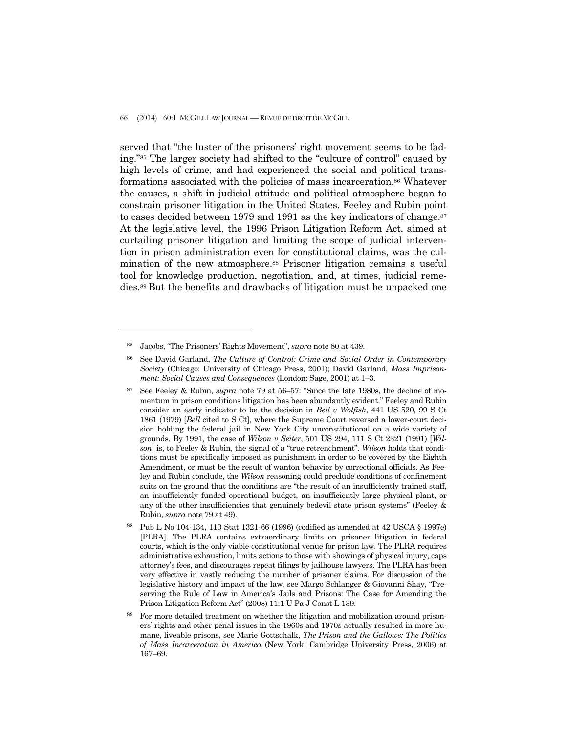served that "the luster of the prisoners' right movement seems to be fading."85 The larger society had shifted to the "culture of control" caused by high levels of crime, and had experienced the social and political transformations associated with the policies of mass incarceration.86 Whatever the causes, a shift in judicial attitude and political atmosphere began to constrain prisoner litigation in the United States. Feeley and Rubin point to cases decided between 1979 and 1991 as the key indicators of change.<sup>87</sup> At the legislative level, the 1996 Prison Litigation Reform Act, aimed at curtailing prisoner litigation and limiting the scope of judicial intervention in prison administration even for constitutional claims, was the culmination of the new atmosphere.<sup>88</sup> Prisoner litigation remains a useful tool for knowledge production, negotiation, and, at times, judicial remedies.89 But the benefits and drawbacks of litigation must be unpacked one

<sup>85</sup> Jacobs, "The Prisoners' Rights Movement", *supra* note 80 at 439.

<sup>86</sup> See David Garland, *The Culture of Control: Crime and Social Order in Contemporary Society* (Chicago: University of Chicago Press, 2001); David Garland, *Mass Imprisonment: Social Causes and Consequences* (London: Sage, 2001) at 1–3.

<sup>87</sup> See Feeley & Rubin, *supra* note 79 at 56–57: "Since the late 1980s, the decline of momentum in prison conditions litigation has been abundantly evident." Feeley and Rubin consider an early indicator to be the decision in *Bell v Wolfish*, 441 US 520, 99 S Ct 1861 (1979) [*Bell* cited to S Ct], where the Supreme Court reversed a lower-court decision holding the federal jail in New York City unconstitutional on a wide variety of grounds. By 1991, the case of *Wilson v Seiter*, 501 US 294, 111 S Ct 2321 (1991) [*Wilson*] is, to Feeley & Rubin, the signal of a "true retrenchment". *Wilson* holds that conditions must be specifically imposed as punishment in order to be covered by the Eighth Amendment, or must be the result of wanton behavior by correctional officials. As Feeley and Rubin conclude, the *Wilson* reasoning could preclude conditions of confinement suits on the ground that the conditions are "the result of an insufficiently trained staff, an insufficiently funded operational budget, an insufficiently large physical plant, or any of the other insufficiencies that genuinely bedevil state prison systems" (Feeley & Rubin, *supra* note 79 at 49).

<sup>88</sup> Pub L No 104-134, 110 Stat 1321-66 (1996) (codified as amended at 42 USCA § 1997e) [PLRA]. The PLRA contains extraordinary limits on prisoner litigation in federal courts, which is the only viable constitutional venue for prison law. The PLRA requires administrative exhaustion, limits actions to those with showings of physical injury, caps attorney's fees, and discourages repeat filings by jailhouse lawyers. The PLRA has been very effective in vastly reducing the number of prisoner claims. For discussion of the legislative history and impact of the law, see Margo Schlanger & Giovanni Shay, "Preserving the Rule of Law in America's Jails and Prisons: The Case for Amending the Prison Litigation Reform Act" (2008) 11:1 U Pa J Const L 139.

<sup>89</sup> For more detailed treatment on whether the litigation and mobilization around prisoners' rights and other penal issues in the 1960s and 1970s actually resulted in more humane, liveable prisons, see Marie Gottschalk, *The Prison and the Gallows: The Politics of Mass Incarceration in America* (New York: Cambridge University Press, 2006) at 167–69.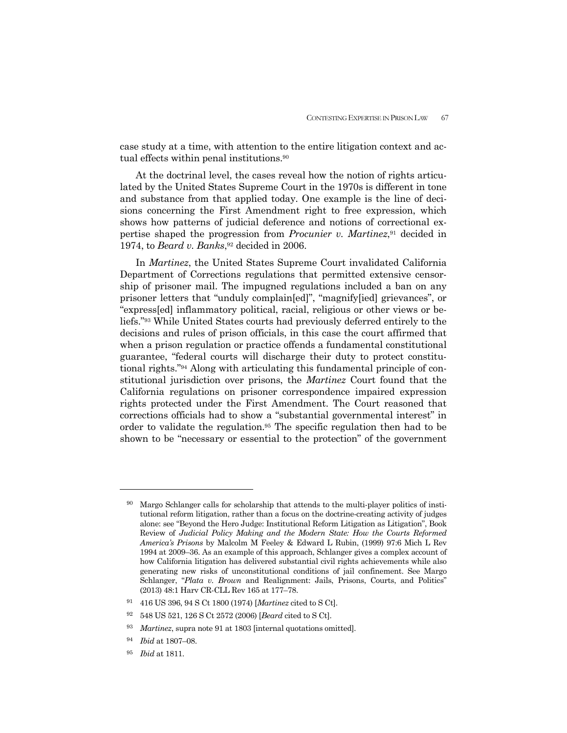case study at a time, with attention to the entire litigation context and actual effects within penal institutions.<sup>90</sup>

 At the doctrinal level, the cases reveal how the notion of rights articulated by the United States Supreme Court in the 1970s is different in tone and substance from that applied today. One example is the line of decisions concerning the First Amendment right to free expression, which shows how patterns of judicial deference and notions of correctional expertise shaped the progression from *Procunier v. Martinez*,91 decided in 1974, to *Beard v. Banks*,<sup>92</sup> decided in 2006.

 In *Martinez*, the United States Supreme Court invalidated California Department of Corrections regulations that permitted extensive censorship of prisoner mail. The impugned regulations included a ban on any prisoner letters that "unduly complain[ed]", "magnify[ied] grievances", or "express[ed] inflammatory political, racial, religious or other views or beliefs."93 While United States courts had previously deferred entirely to the decisions and rules of prison officials, in this case the court affirmed that when a prison regulation or practice offends a fundamental constitutional guarantee, "federal courts will discharge their duty to protect constitutional rights."94 Along with articulating this fundamental principle of constitutional jurisdiction over prisons, the *Martinez* Court found that the California regulations on prisoner correspondence impaired expression rights protected under the First Amendment. The Court reasoned that corrections officials had to show a "substantial governmental interest" in order to validate the regulation.95 The specific regulation then had to be shown to be "necessary or essential to the protection" of the government

<sup>&</sup>lt;sup>90</sup> Margo Schlanger calls for scholarship that attends to the multi-player politics of institutional reform litigation, rather than a focus on the doctrine-creating activity of judges alone: see "Beyond the Hero Judge: Institutional Reform Litigation as Litigation", Book Review of *Judicial Policy Making and the Modern State: How the Courts Reformed America's Prisons* by Malcolm M Feeley & Edward L Rubin, (1999) 97:6 Mich L Rev 1994 at 2009–36. As an example of this approach, Schlanger gives a complex account of how California litigation has delivered substantial civil rights achievements while also generating new risks of unconstitutional conditions of jail confinement. See Margo Schlanger, "*Plata v. Brown* and Realignment: Jails, Prisons, Courts, and Politics" (2013) 48:1 Harv CR-CLL Rev 165 at 177–78.

<sup>91 416</sup> US 396, 94 S Ct 1800 (1974) [*Martinez* cited to S Ct].

<sup>92 548</sup> US 521, 126 S Ct 2572 (2006) [*Beard* cited to S Ct].

<sup>93</sup> *Martinez*, supra note 91 at 1803 [internal quotations omitted].

<sup>94</sup> *Ibid* at 1807–08.

<sup>95</sup> *Ibid* at 1811.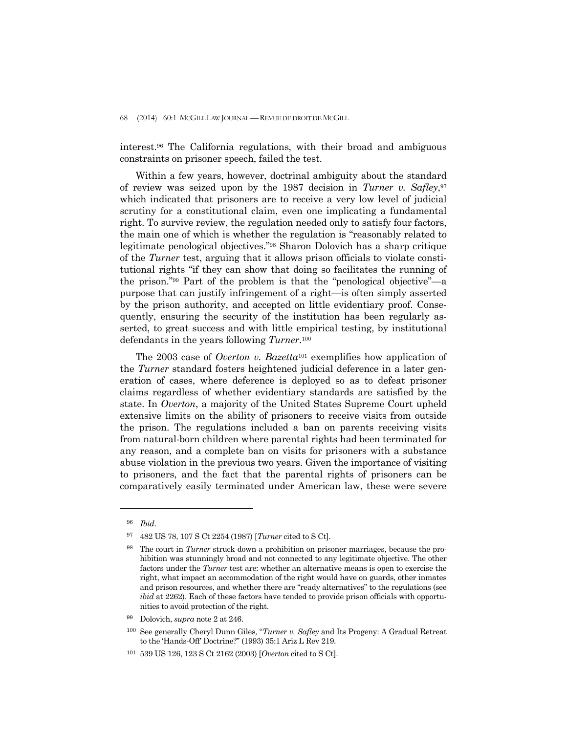interest.96 The California regulations, with their broad and ambiguous constraints on prisoner speech, failed the test.

 Within a few years, however, doctrinal ambiguity about the standard of review was seized upon by the 1987 decision in *Turner v. Safley*,97 which indicated that prisoners are to receive a very low level of judicial scrutiny for a constitutional claim, even one implicating a fundamental right. To survive review, the regulation needed only to satisfy four factors, the main one of which is whether the regulation is "reasonably related to legitimate penological objectives."98 Sharon Dolovich has a sharp critique of the *Turner* test, arguing that it allows prison officials to violate constitutional rights "if they can show that doing so facilitates the running of the prison."99 Part of the problem is that the "penological objective"—a purpose that can justify infringement of a right—is often simply asserted by the prison authority, and accepted on little evidentiary proof. Consequently, ensuring the security of the institution has been regularly asserted, to great success and with little empirical testing, by institutional defendants in the years following *Turner*.100

 The 2003 case of *Overton v. Bazetta*101 exemplifies how application of the *Turner* standard fosters heightened judicial deference in a later generation of cases, where deference is deployed so as to defeat prisoner claims regardless of whether evidentiary standards are satisfied by the state. In *Overton*, a majority of the United States Supreme Court upheld extensive limits on the ability of prisoners to receive visits from outside the prison. The regulations included a ban on parents receiving visits from natural-born children where parental rights had been terminated for any reason, and a complete ban on visits for prisoners with a substance abuse violation in the previous two years. Given the importance of visiting to prisoners, and the fact that the parental rights of prisoners can be comparatively easily terminated under American law, these were severe

-

99 Dolovich, *supra* note 2 at 246.

100 See generally Cheryl Dunn Giles, "*Turner v. Safley* and Its Progeny: A Gradual Retreat to the 'Hands-Off' Doctrine?" (1993) 35:1 Ariz L Rev 219.

<sup>96</sup> *Ibid*.

<sup>97 482</sup> US 78, 107 S Ct 2254 (1987) [*Turner* cited to S Ct].

<sup>98</sup> The court in *Turner* struck down a prohibition on prisoner marriages, because the prohibition was stunningly broad and not connected to any legitimate objective. The other factors under the *Turner* test are: whether an alternative means is open to exercise the right, what impact an accommodation of the right would have on guards, other inmates and prison resources, and whether there are "ready alternatives" to the regulations (see *ibid* at 2262). Each of these factors have tended to provide prison officials with opportunities to avoid protection of the right.

<sup>101 539</sup> US 126, 123 S Ct 2162 (2003) [*Overton* cited to S Ct].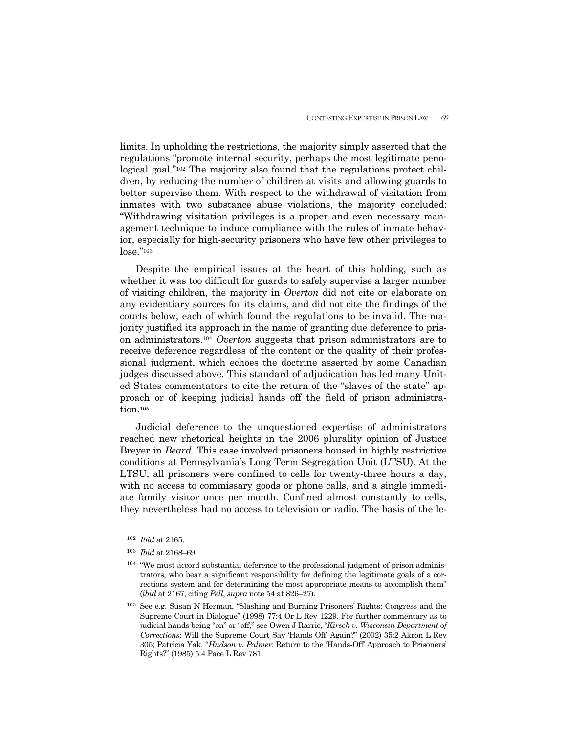limits. In upholding the restrictions, the majority simply asserted that the regulations "promote internal security, perhaps the most legitimate penological goal."102 The majority also found that the regulations protect children, by reducing the number of children at visits and allowing guards to better supervise them. With respect to the withdrawal of visitation from inmates with two substance abuse violations, the majority concluded: "Withdrawing visitation privileges is a proper and even necessary management technique to induce compliance with the rules of inmate behavior, especially for high-security prisoners who have few other privileges to lose."103

 Despite the empirical issues at the heart of this holding, such as whether it was too difficult for guards to safely supervise a larger number of visiting children, the majority in *Overton* did not cite or elaborate on any evidentiary sources for its claims, and did not cite the findings of the courts below, each of which found the regulations to be invalid. The majority justified its approach in the name of granting due deference to prison administrators.104 *Overton* suggests that prison administrators are to receive deference regardless of the content or the quality of their professional judgment, which echoes the doctrine asserted by some Canadian judges discussed above. This standard of adjudication has led many United States commentators to cite the return of the "slaves of the state" approach or of keeping judicial hands off the field of prison administration.<sup>105</sup>

 Judicial deference to the unquestioned expertise of administrators reached new rhetorical heights in the 2006 plurality opinion of Justice Breyer in *Beard*. This case involved prisoners housed in highly restrictive conditions at Pennsylvania's Long Term Segregation Unit (LTSU). At the LTSU, all prisoners were confined to cells for twenty-three hours a day, with no access to commissary goods or phone calls, and a single immediate family visitor once per month. Confined almost constantly to cells, they nevertheless had no access to television or radio. The basis of the le-

<sup>102</sup> *Ibid* at 2165.

<sup>103</sup> *Ibid* at 2168–69.

<sup>&</sup>lt;sup>104</sup> "We must accord substantial deference to the professional judgment of prison administrators, who bear a significant responsibility for defining the legitimate goals of a corrections system and for determining the most appropriate means to accomplish them" (*ibid* at 2167, citing *Pell*, *supra* note 54 at 826–27).

<sup>105</sup> See e.g. Susan N Herman, "Slashing and Burning Prisoners' Rights: Congress and the Supreme Court in Dialogue" (1998) 77:4 Or L Rev 1229. For further commentary as to judicial hands being "on" or "off," see Owen J Rarric, "*Kirsch v. Wisconsin Department of Corrections*: Will the Supreme Court Say 'Hands Off' Again?" (2002) 35:2 Akron L Rev 305; Patricia Yak, "*Hudson v. Palmer*: Return to the 'Hands-Off' Approach to Prisoners' Rights?" (1985) 5:4 Pace L Rev 781.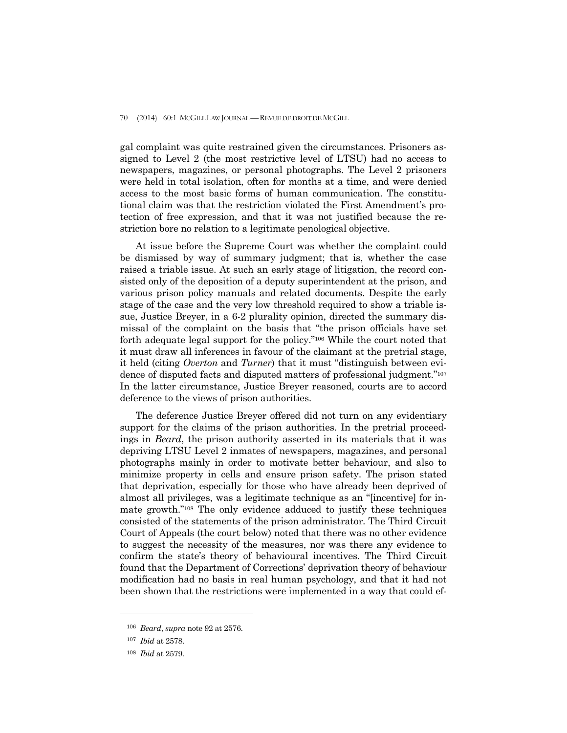gal complaint was quite restrained given the circumstances. Prisoners assigned to Level 2 (the most restrictive level of LTSU) had no access to newspapers, magazines, or personal photographs. The Level 2 prisoners were held in total isolation, often for months at a time, and were denied access to the most basic forms of human communication. The constitutional claim was that the restriction violated the First Amendment's protection of free expression, and that it was not justified because the restriction bore no relation to a legitimate penological objective.

 At issue before the Supreme Court was whether the complaint could be dismissed by way of summary judgment; that is, whether the case raised a triable issue. At such an early stage of litigation, the record consisted only of the deposition of a deputy superintendent at the prison, and various prison policy manuals and related documents. Despite the early stage of the case and the very low threshold required to show a triable issue, Justice Breyer, in a 6-2 plurality opinion, directed the summary dismissal of the complaint on the basis that "the prison officials have set forth adequate legal support for the policy."106 While the court noted that it must draw all inferences in favour of the claimant at the pretrial stage, it held (citing *Overton* and *Turner*) that it must "distinguish between evidence of disputed facts and disputed matters of professional judgment."107 In the latter circumstance, Justice Breyer reasoned, courts are to accord deference to the views of prison authorities.

 The deference Justice Breyer offered did not turn on any evidentiary support for the claims of the prison authorities. In the pretrial proceedings in *Beard*, the prison authority asserted in its materials that it was depriving LTSU Level 2 inmates of newspapers, magazines, and personal photographs mainly in order to motivate better behaviour, and also to minimize property in cells and ensure prison safety. The prison stated that deprivation, especially for those who have already been deprived of almost all privileges, was a legitimate technique as an "[incentive] for inmate growth."108 The only evidence adduced to justify these techniques consisted of the statements of the prison administrator. The Third Circuit Court of Appeals (the court below) noted that there was no other evidence to suggest the necessity of the measures, nor was there any evidence to confirm the state's theory of behavioural incentives. The Third Circuit found that the Department of Corrections' deprivation theory of behaviour modification had no basis in real human psychology, and that it had not been shown that the restrictions were implemented in a way that could ef-

<sup>106</sup> *Beard*, *supra* note 92 at 2576.

<sup>107</sup> *Ibid* at 2578.

<sup>108</sup> *Ibid* at 2579.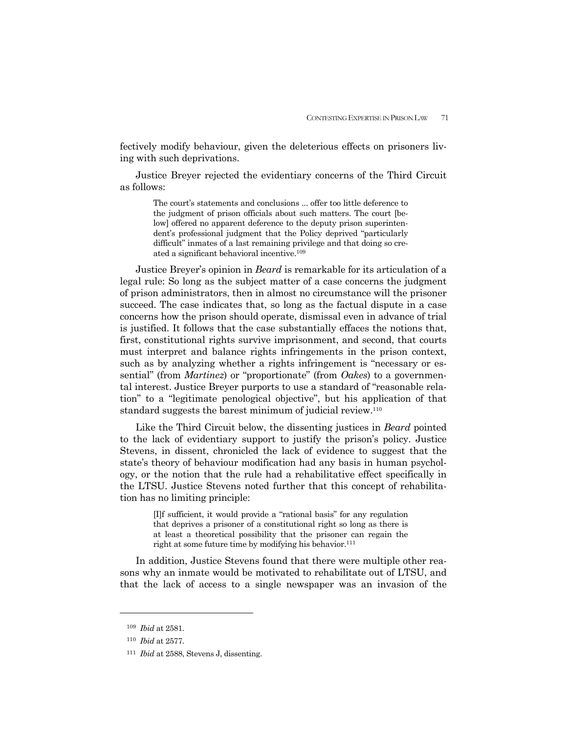fectively modify behaviour, given the deleterious effects on prisoners living with such deprivations.

 Justice Breyer rejected the evidentiary concerns of the Third Circuit as follows:

> The court's statements and conclusions ... offer too little deference to the judgment of prison officials about such matters. The court [below] offered no apparent deference to the deputy prison superintendent's professional judgment that the Policy deprived "particularly difficult" inmates of a last remaining privilege and that doing so created a significant behavioral incentive.109

 Justice Breyer's opinion in *Beard* is remarkable for its articulation of a legal rule: So long as the subject matter of a case concerns the judgment of prison administrators, then in almost no circumstance will the prisoner succeed. The case indicates that, so long as the factual dispute in a case concerns how the prison should operate, dismissal even in advance of trial is justified. It follows that the case substantially effaces the notions that, first, constitutional rights survive imprisonment, and second, that courts must interpret and balance rights infringements in the prison context, such as by analyzing whether a rights infringement is "necessary or essential" (from *Martinez*) or "proportionate" (from *Oakes*) to a governmental interest. Justice Breyer purports to use a standard of "reasonable relation" to a "legitimate penological objective", but his application of that standard suggests the barest minimum of judicial review.110

 Like the Third Circuit below, the dissenting justices in *Beard* pointed to the lack of evidentiary support to justify the prison's policy. Justice Stevens, in dissent, chronicled the lack of evidence to suggest that the state's theory of behaviour modification had any basis in human psychology, or the notion that the rule had a rehabilitative effect specifically in the LTSU. Justice Stevens noted further that this concept of rehabilitation has no limiting principle:

> [I]f sufficient, it would provide a "rational basis" for any regulation that deprives a prisoner of a constitutional right so long as there is at least a theoretical possibility that the prisoner can regain the right at some future time by modifying his behavior.<sup>111</sup>

 In addition, Justice Stevens found that there were multiple other reasons why an inmate would be motivated to rehabilitate out of LTSU, and that the lack of access to a single newspaper was an invasion of the

<sup>109</sup> *Ibid* at 2581.

<sup>110</sup> *Ibid* at 2577.

<sup>111</sup> *Ibid* at 2588, Stevens J, dissenting.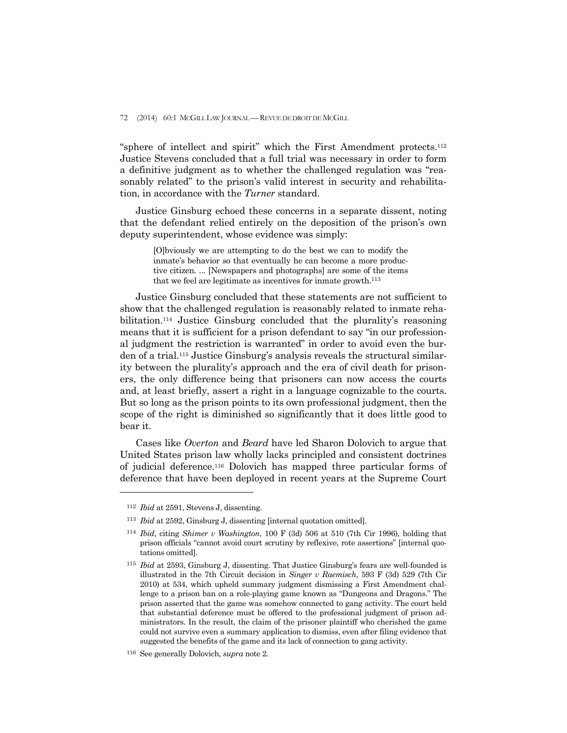"sphere of intellect and spirit" which the First Amendment protects.112 Justice Stevens concluded that a full trial was necessary in order to form a definitive judgment as to whether the challenged regulation was "reasonably related" to the prison's valid interest in security and rehabilitation, in accordance with the *Turner* standard.

 Justice Ginsburg echoed these concerns in a separate dissent, noting that the defendant relied entirely on the deposition of the prison's own deputy superintendent, whose evidence was simply:

> [O]bviously we are attempting to do the best we can to modify the inmate's behavior so that eventually he can become a more productive citizen. ... [Newspapers and photographs] are some of the items that we feel are legitimate as incentives for inmate growth.113

 Justice Ginsburg concluded that these statements are not sufficient to show that the challenged regulation is reasonably related to inmate rehabilitation.114 Justice Ginsburg concluded that the plurality's reasoning means that it is sufficient for a prison defendant to say "in our professional judgment the restriction is warranted" in order to avoid even the burden of a trial.115 Justice Ginsburg's analysis reveals the structural similarity between the plurality's approach and the era of civil death for prisoners, the only difference being that prisoners can now access the courts and, at least briefly, assert a right in a language cognizable to the courts. But so long as the prison points to its own professional judgment, then the scope of the right is diminished so significantly that it does little good to bear it.

 Cases like *Overton* and *Beard* have led Sharon Dolovich to argue that United States prison law wholly lacks principled and consistent doctrines of judicial deference.116 Dolovich has mapped three particular forms of deference that have been deployed in recent years at the Supreme Court

<sup>112</sup> *Ibid* at 2591, Stevens J, dissenting.

<sup>113</sup> *Ibid* at 2592, Ginsburg J, dissenting [internal quotation omitted].

<sup>114</sup> *Ibid*, citing *Shimer v Washington*, 100 F (3d) 506 at 510 (7th Cir 1996), holding that prison officials "cannot avoid court scrutiny by reflexive, rote assertions" [internal quotations omitted].

<sup>115</sup> *Ibid* at 2593, Ginsburg J, dissenting. That Justice Ginsburg's fears are well-founded is illustrated in the 7th Circuit decision in *Singer v Raemisch*, 593 F (3d) 529 (7th Cir 2010) at 534, which upheld summary judgment dismissing a First Amendment challenge to a prison ban on a role-playing game known as "Dungeons and Dragons." The prison asserted that the game was somehow connected to gang activity. The court held that substantial deference must be offered to the professional judgment of prison administrators. In the result, the claim of the prisoner plaintiff who cherished the game could not survive even a summary application to dismiss, even after filing evidence that suggested the benefits of the game and its lack of connection to gang activity.

<sup>116</sup> See generally Dolovich, *supra* note 2.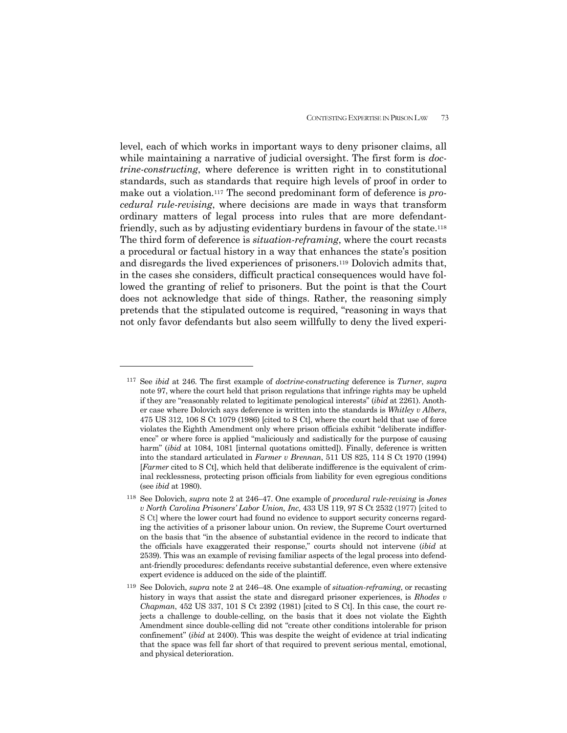level, each of which works in important ways to deny prisoner claims, all while maintaining a narrative of judicial oversight. The first form is *doctrine-constructing*, where deference is written right in to constitutional standards, such as standards that require high levels of proof in order to make out a violation.117 The second predominant form of deference is *procedural rule-revising*, where decisions are made in ways that transform ordinary matters of legal process into rules that are more defendantfriendly, such as by adjusting evidentiary burdens in favour of the state.<sup>118</sup> The third form of deference is *situation-reframing*, where the court recasts a procedural or factual history in a way that enhances the state's position and disregards the lived experiences of prisoners.119 Dolovich admits that, in the cases she considers, difficult practical consequences would have followed the granting of relief to prisoners. But the point is that the Court does not acknowledge that side of things. Rather, the reasoning simply pretends that the stipulated outcome is required, "reasoning in ways that not only favor defendants but also seem willfully to deny the lived experi-

<sup>117</sup> See *ibid* at 246. The first example of *doctrine-constructing* deference is *Turner*, *supra*  note 97, where the court held that prison regulations that infringe rights may be upheld if they are "reasonably related to legitimate penological interests" (*ibid* at 2261). Another case where Dolovich says deference is written into the standards is *Whitley v Albers*, 475 US 312, 106 S Ct 1079 (1986) [cited to S Ct], where the court held that use of force violates the Eighth Amendment only where prison officials exhibit "deliberate indifference" or where force is applied "maliciously and sadistically for the purpose of causing harm" (*ibid* at 1084, 1081 [internal quotations omitted]). Finally, deference is written into the standard articulated in *Farmer v Brennan*, 511 US 825, 114 S Ct 1970 (1994) [*Farmer* cited to S Ct], which held that deliberate indifference is the equivalent of criminal recklessness, protecting prison officials from liability for even egregious conditions (see *ibid* at 1980).

<sup>118</sup> See Dolovich, *supra* note 2 at 246–47. One example of *procedural rule-revising* is *Jones v North Carolina Prisoners' Labor Union, Inc*, 433 US 119, 97 S Ct 2532 (1977) [cited to S Ct] where the lower court had found no evidence to support security concerns regarding the activities of a prisoner labour union. On review, the Supreme Court overturned on the basis that "in the absence of substantial evidence in the record to indicate that the officials have exaggerated their response," courts should not intervene (*ibid* at 2539). This was an example of revising familiar aspects of the legal process into defendant-friendly procedures: defendants receive substantial deference, even where extensive expert evidence is adduced on the side of the plaintiff.

<sup>119</sup> See Dolovich, *supra* note 2 at 246–48. One example of *situation-reframing*, or recasting history in ways that assist the state and disregard prisoner experiences, is *Rhodes v Chapman*, 452 US 337, 101 S Ct 2392 (1981) [cited to S Ct]. In this case, the court rejects a challenge to double-celling, on the basis that it does not violate the Eighth Amendment since double-celling did not "create other conditions intolerable for prison confinement" (*ibid* at 2400). This was despite the weight of evidence at trial indicating that the space was fell far short of that required to prevent serious mental, emotional, and physical deterioration.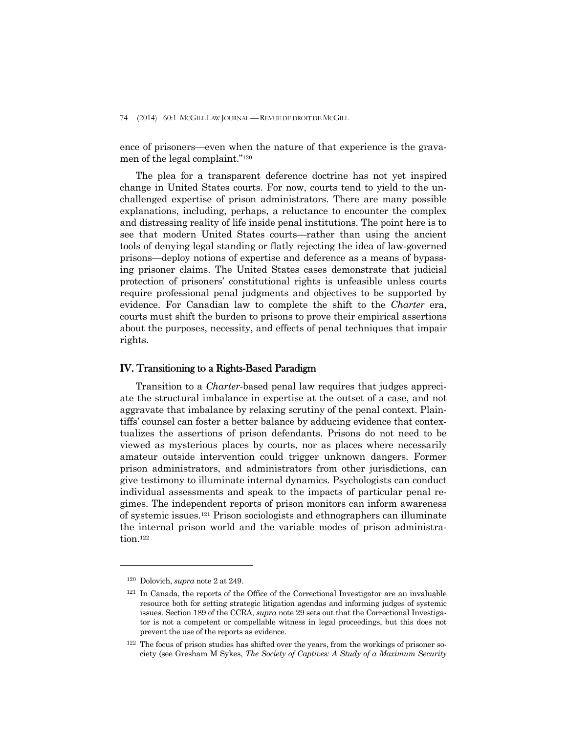ence of prisoners—even when the nature of that experience is the gravamen of the legal complaint."120

 The plea for a transparent deference doctrine has not yet inspired change in United States courts. For now, courts tend to yield to the unchallenged expertise of prison administrators. There are many possible explanations, including, perhaps, a reluctance to encounter the complex and distressing reality of life inside penal institutions. The point here is to see that modern United States courts—rather than using the ancient tools of denying legal standing or flatly rejecting the idea of law-governed prisons—deploy notions of expertise and deference as a means of bypassing prisoner claims. The United States cases demonstrate that judicial protection of prisoners' constitutional rights is unfeasible unless courts require professional penal judgments and objectives to be supported by evidence. For Canadian law to complete the shift to the *Charter* era, courts must shift the burden to prisons to prove their empirical assertions about the purposes, necessity, and effects of penal techniques that impair rights.

## IV. Transitioning to a Rights-Based Paradigm

 Transition to a *Charter*-based penal law requires that judges appreciate the structural imbalance in expertise at the outset of a case, and not aggravate that imbalance by relaxing scrutiny of the penal context. Plaintiffs' counsel can foster a better balance by adducing evidence that contextualizes the assertions of prison defendants. Prisons do not need to be viewed as mysterious places by courts, nor as places where necessarily amateur outside intervention could trigger unknown dangers. Former prison administrators, and administrators from other jurisdictions, can give testimony to illuminate internal dynamics. Psychologists can conduct individual assessments and speak to the impacts of particular penal regimes. The independent reports of prison monitors can inform awareness of systemic issues.121 Prison sociologists and ethnographers can illuminate the internal prison world and the variable modes of prison administration.122

<sup>120</sup> Dolovich, *supra* note 2 at 249.

<sup>121</sup> In Canada, the reports of the Office of the Correctional Investigator are an invaluable resource both for setting strategic litigation agendas and informing judges of systemic issues. Section 189 of the CCRA, *supra* note 29 sets out that the Correctional Investigator is not a competent or compellable witness in legal proceedings, but this does not prevent the use of the reports as evidence.

<sup>122</sup> The focus of prison studies has shifted over the years, from the workings of prisoner society (see Gresham M Sykes, *The Society of Captives: A Study of a Maximum Security*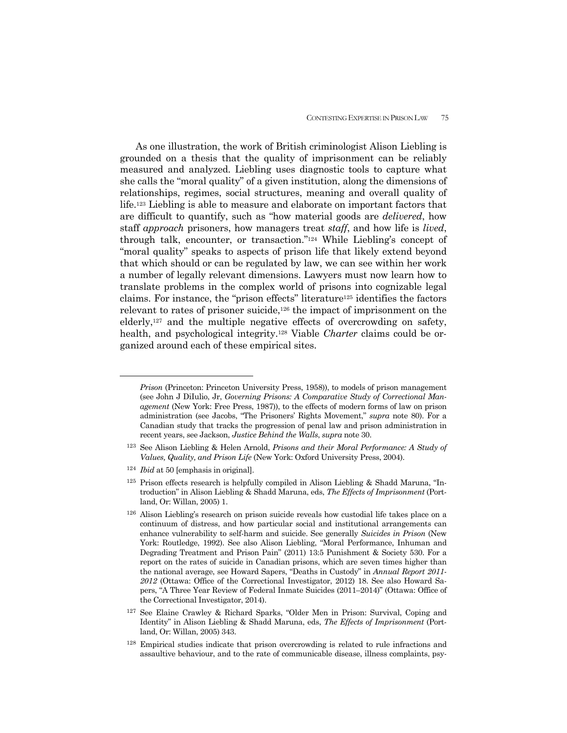As one illustration, the work of British criminologist Alison Liebling is grounded on a thesis that the quality of imprisonment can be reliably measured and analyzed. Liebling uses diagnostic tools to capture what she calls the "moral quality" of a given institution, along the dimensions of relationships, regimes, social structures, meaning and overall quality of life.123 Liebling is able to measure and elaborate on important factors that are difficult to quantify, such as "how material goods are *delivered*, how staff *approach* prisoners, how managers treat *staff*, and how life is *lived*, through talk, encounter, or transaction."124 While Liebling's concept of "moral quality" speaks to aspects of prison life that likely extend beyond that which should or can be regulated by law, we can see within her work a number of legally relevant dimensions. Lawyers must now learn how to translate problems in the complex world of prisons into cognizable legal claims. For instance, the "prison effects" literature<sup>125</sup> identifies the factors relevant to rates of prisoner suicide,126 the impact of imprisonment on the elderly,127 and the multiple negative effects of overcrowding on safety, health, and psychological integrity.128 Viable *Charter* claims could be organized around each of these empirical sites.

*Prison* (Princeton: Princeton University Press, 1958)), to models of prison management (see John J DiIulio, Jr, *Governing Prisons: A Comparative Study of Correctional Management* (New York: Free Press, 1987)), to the effects of modern forms of law on prison administration (see Jacobs, "The Prisoners' Rights Movement," *supra* note 80). For a Canadian study that tracks the progression of penal law and prison administration in recent years, see Jackson, *Justice Behind the Walls*, *supra* note 30.

<sup>123</sup> See Alison Liebling & Helen Arnold, *Prisons and their Moral Performance: A Study of Values, Quality, and Prison Life* (New York: Oxford University Press, 2004).

<sup>124</sup> *Ibid* at 50 [emphasis in original].

<sup>125</sup> Prison effects research is helpfully compiled in Alison Liebling & Shadd Maruna, "Introduction" in Alison Liebling & Shadd Maruna, eds, *The Effects of Imprisonment* (Portland, Or: Willan, 2005) 1.

<sup>126</sup> Alison Liebling's research on prison suicide reveals how custodial life takes place on a continuum of distress, and how particular social and institutional arrangements can enhance vulnerability to self-harm and suicide. See generally *Suicides in Prison* (New York: Routledge, 1992). See also Alison Liebling, "Moral Performance, Inhuman and Degrading Treatment and Prison Pain" (2011) 13:5 Punishment & Society 530. For a report on the rates of suicide in Canadian prisons, which are seven times higher than the national average, see Howard Sapers, "Deaths in Custody" in *Annual Report 2011- 2012* (Ottawa: Office of the Correctional Investigator, 2012) 18. See also Howard Sapers, "A Three Year Review of Federal Inmate Suicides (2011–2014)" (Ottawa: Office of the Correctional Investigator, 2014).

<sup>127</sup> See Elaine Crawley & Richard Sparks, "Older Men in Prison: Survival, Coping and Identity" in Alison Liebling & Shadd Maruna, eds, *The Effects of Imprisonment* (Portland, Or: Willan, 2005) 343.

<sup>128</sup> Empirical studies indicate that prison overcrowding is related to rule infractions and assaultive behaviour, and to the rate of communicable disease, illness complaints, psy-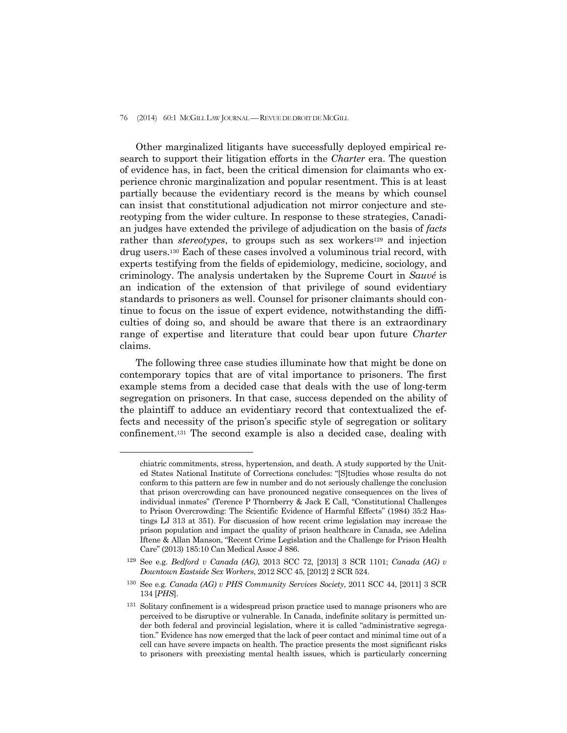#### 76 (2014) 60:1 MCGILL LAW JOURNAL —REVUE DE DROIT DE MCGILL

 Other marginalized litigants have successfully deployed empirical research to support their litigation efforts in the *Charter* era. The question of evidence has, in fact, been the critical dimension for claimants who experience chronic marginalization and popular resentment. This is at least partially because the evidentiary record is the means by which counsel can insist that constitutional adjudication not mirror conjecture and stereotyping from the wider culture. In response to these strategies, Canadian judges have extended the privilege of adjudication on the basis of *facts* rather than *stereotypes*, to groups such as sex workers<sup>129</sup> and injection drug users.130 Each of these cases involved a voluminous trial record, with experts testifying from the fields of epidemiology, medicine, sociology, and criminology. The analysis undertaken by the Supreme Court in *Sauvé* is an indication of the extension of that privilege of sound evidentiary standards to prisoners as well. Counsel for prisoner claimants should continue to focus on the issue of expert evidence, notwithstanding the difficulties of doing so, and should be aware that there is an extraordinary range of expertise and literature that could bear upon future *Charter*  claims.

 The following three case studies illuminate how that might be done on contemporary topics that are of vital importance to prisoners. The first example stems from a decided case that deals with the use of long-term segregation on prisoners. In that case, success depended on the ability of the plaintiff to adduce an evidentiary record that contextualized the effects and necessity of the prison's specific style of segregation or solitary confinement.131 The second example is also a decided case, dealing with

chiatric commitments, stress, hypertension, and death. A study supported by the United States National Institute of Corrections concludes: "[S]tudies whose results do not conform to this pattern are few in number and do not seriously challenge the conclusion that prison overcrowding can have pronounced negative consequences on the lives of individual inmates" (Terence P Thornberry & Jack E Call, "Constitutional Challenges to Prison Overcrowding: The Scientific Evidence of Harmful Effects" (1984) 35:2 Hastings LJ 313 at 351). For discussion of how recent crime legislation may increase the prison population and impact the quality of prison healthcare in Canada, see Adelina Iftene & Allan Manson, "Recent Crime Legislation and the Challenge for Prison Health Care" (2013) 185:10 Can Medical Assoc J 886.

<sup>129</sup> See e.g. *Bedford v Canada (AG)*, 2013 SCC 72, [2013] 3 SCR 1101; *Canada (AG) v Downtown Eastside Sex Workers*, 2012 SCC 45, [2012] 2 SCR 524.

<sup>130</sup> See e.g. *Canada (AG) v PHS Community Services Society*, 2011 SCC 44, [2011] 3 SCR 134 [*PHS*].

<sup>&</sup>lt;sup>131</sup> Solitary confinement is a widespread prison practice used to manage prisoners who are perceived to be disruptive or vulnerable. In Canada, indefinite solitary is permitted under both federal and provincial legislation, where it is called "administrative segregation." Evidence has now emerged that the lack of peer contact and minimal time out of a cell can have severe impacts on health. The practice presents the most significant risks to prisoners with preexisting mental health issues, which is particularly concerning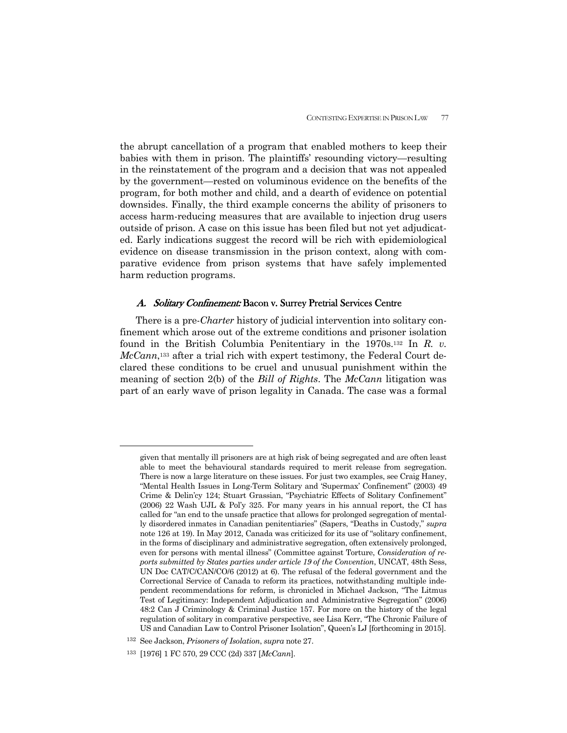the abrupt cancellation of a program that enabled mothers to keep their babies with them in prison. The plaintiffs' resounding victory—resulting in the reinstatement of the program and a decision that was not appealed by the government—rested on voluminous evidence on the benefits of the program, for both mother and child, and a dearth of evidence on potential downsides. Finally, the third example concerns the ability of prisoners to access harm-reducing measures that are available to injection drug users outside of prison. A case on this issue has been filed but not yet adjudicated. Early indications suggest the record will be rich with epidemiological evidence on disease transmission in the prison context, along with comparative evidence from prison systems that have safely implemented harm reduction programs.

### A. Solitary Confinement: Bacon v. Surrey Pretrial Services Centre

 There is a pre-*Charter* history of judicial intervention into solitary confinement which arose out of the extreme conditions and prisoner isolation found in the British Columbia Penitentiary in the 1970s.132 In *R. v. McCann*,133 after a trial rich with expert testimony, the Federal Court declared these conditions to be cruel and unusual punishment within the meaning of section 2(b) of the *Bill of Rights*. The *McCann* litigation was part of an early wave of prison legality in Canada. The case was a formal

given that mentally ill prisoners are at high risk of being segregated and are often least able to meet the behavioural standards required to merit release from segregation. There is now a large literature on these issues. For just two examples, see Craig Haney, "Mental Health Issues in Long-Term Solitary and 'Supermax' Confinement" (2003) 49 Crime & Delin'cy 124; Stuart Grassian, "Psychiatric Effects of Solitary Confinement" (2006) 22 Wash UJL & Pol'y 325. For many years in his annual report, the CI has called for "an end to the unsafe practice that allows for prolonged segregation of mentally disordered inmates in Canadian penitentiaries" (Sapers, "Deaths in Custody," *supra*  note 126 at 19). In May 2012, Canada was criticized for its use of "solitary confinement, in the forms of disciplinary and administrative segregation, often extensively prolonged, even for persons with mental illness" (Committee against Torture, *Consideration of reports submitted by States parties under article 19 of the Convention*, UNCAT, 48th Sess, UN Doc CAT/C/CAN/CO/6 (2012) at 6). The refusal of the federal government and the Correctional Service of Canada to reform its practices, notwithstanding multiple independent recommendations for reform, is chronicled in Michael Jackson, "The Litmus Test of Legitimacy: Independent Adjudication and Administrative Segregation" (2006) 48:2 Can J Criminology & Criminal Justice 157. For more on the history of the legal regulation of solitary in comparative perspective, see Lisa Kerr, "The Chronic Failure of US and Canadian Law to Control Prisoner Isolation", Queen's LJ [forthcoming in 2015].

<sup>132</sup> See Jackson, *Prisoners of Isolation*, *supra* note 27.

<sup>133 [1976] 1</sup> FC 570, 29 CCC (2d) 337 [*McCann*].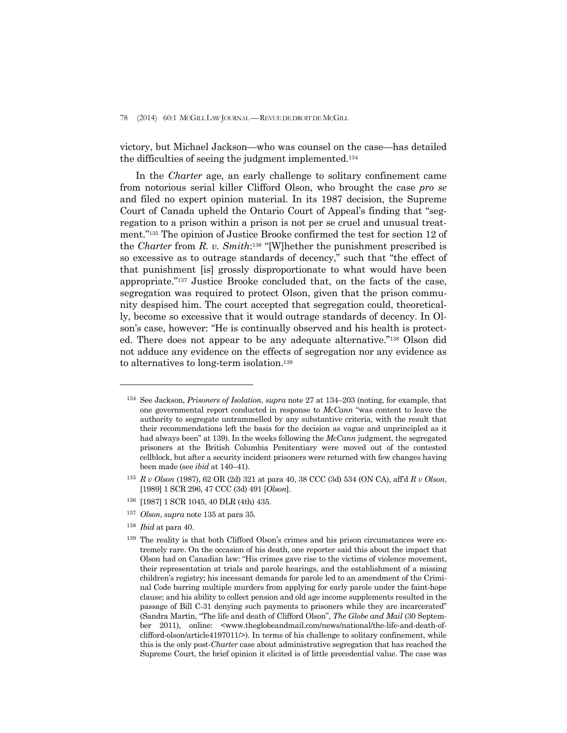78 (2014) 60:1 MCGILL LAW JOURNAL —REVUE DE DROIT DE MCGILL

victory, but Michael Jackson—who was counsel on the case—has detailed the difficulties of seeing the judgment implemented.134

 In the *Charter* age, an early challenge to solitary confinement came from notorious serial killer Clifford Olson, who brought the case *pro se* and filed no expert opinion material. In its 1987 decision, the Supreme Court of Canada upheld the Ontario Court of Appeal's finding that "segregation to a prison within a prison is not per se cruel and unusual treatment."135 The opinion of Justice Brooke confirmed the test for section 12 of the *Charter* from *R. v. Smith*:136 "[W]hether the punishment prescribed is so excessive as to outrage standards of decency," such that "the effect of that punishment [is] grossly disproportionate to what would have been appropriate."137 Justice Brooke concluded that, on the facts of the case, segregation was required to protect Olson, given that the prison community despised him. The court accepted that segregation could, theoretically, become so excessive that it would outrage standards of decency. In Olson's case, however: "He is continually observed and his health is protected. There does not appear to be any adequate alternative."138 Olson did not adduce any evidence on the effects of segregation nor any evidence as to alternatives to long-term isolation.139

- 136 [1987] 1 SCR 1045, 40 DLR (4th) 435.
- <sup>137</sup> *Olson*, *supra* note 135 at para 35.
- <sup>138</sup> *Ibid* at para 40.

<sup>134</sup> See Jackson, *Prisoners of Isolation*, *supra* note 27 at 134–203 (noting, for example, that one governmental report conducted in response to *McCann* "was content to leave the authority to segregate untrammelled by any substantive criteria, with the result that their recommendations left the basis for the decision as vague and unprincipled as it had always been" at 139). In the weeks following the *McCann* judgment, the segregated prisoners at the British Columbia Penitentiary were moved out of the contested cellblock, but after a security incident prisoners were returned with few changes having been made (see *ibid* at 140–41).

<sup>135</sup> *R v Olson* (1987), 62 OR (2d) 321 at para 40, 38 CCC (3d) 534 (ON CA), aff'd *R v Olson*, [1989] 1 SCR 296, 47 CCC (3d) 491 [*Olson*].

<sup>139</sup> The reality is that both Clifford Olson's crimes and his prison circumstances were extremely rare. On the occasion of his death, one reporter said this about the impact that Olson had on Canadian law: "His crimes gave rise to the victims of violence movement, their representation at trials and parole hearings, and the establishment of a missing children's registry; his incessant demands for parole led to an amendment of the Criminal Code barring multiple murders from applying for early parole under the faint-hope clause; and his ability to collect pension and old age income supplements resulted in the passage of Bill C-31 denying such payments to prisoners while they are incarcerated" (Sandra Martin, "The life and death of Clifford Olson", *The Globe and Mail* (30 September 2011), online: <www.theglobeandmail.com/news/national/the-life-and-death-ofclifford-olson/article4197011/>). In terms of his challenge to solitary confinement, while this is the only post-*Charter* case about administrative segregation that has reached the Supreme Court, the brief opinion it elicited is of little precedential value. The case was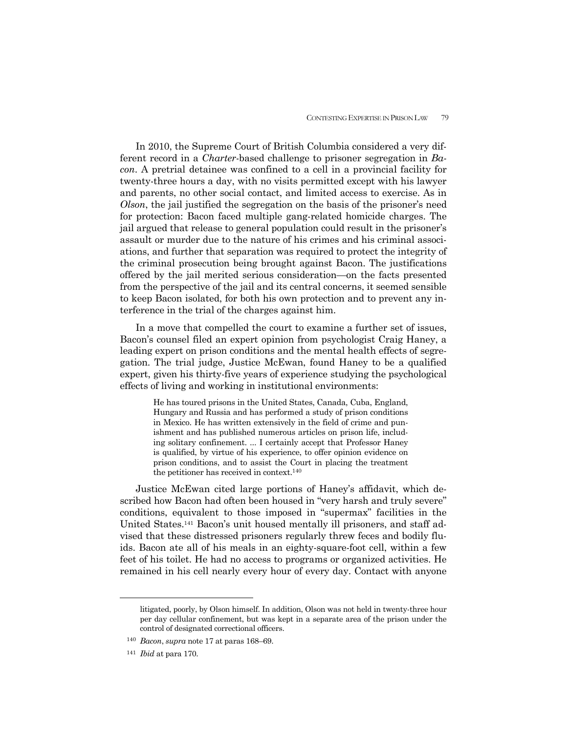In 2010, the Supreme Court of British Columbia considered a very different record in a *Charter*-based challenge to prisoner segregation in *Bacon*. A pretrial detainee was confined to a cell in a provincial facility for twenty-three hours a day, with no visits permitted except with his lawyer and parents, no other social contact, and limited access to exercise. As in *Olson*, the jail justified the segregation on the basis of the prisoner's need for protection: Bacon faced multiple gang-related homicide charges. The jail argued that release to general population could result in the prisoner's assault or murder due to the nature of his crimes and his criminal associations, and further that separation was required to protect the integrity of the criminal prosecution being brought against Bacon. The justifications offered by the jail merited serious consideration—on the facts presented from the perspective of the jail and its central concerns, it seemed sensible to keep Bacon isolated, for both his own protection and to prevent any interference in the trial of the charges against him.

 In a move that compelled the court to examine a further set of issues, Bacon's counsel filed an expert opinion from psychologist Craig Haney, a leading expert on prison conditions and the mental health effects of segregation. The trial judge, Justice McEwan, found Haney to be a qualified expert, given his thirty-five years of experience studying the psychological effects of living and working in institutional environments:

> He has toured prisons in the United States, Canada, Cuba, England, Hungary and Russia and has performed a study of prison conditions in Mexico. He has written extensively in the field of crime and punishment and has published numerous articles on prison life, including solitary confinement. ... I certainly accept that Professor Haney is qualified, by virtue of his experience, to offer opinion evidence on prison conditions, and to assist the Court in placing the treatment the petitioner has received in context.140

 Justice McEwan cited large portions of Haney's affidavit, which described how Bacon had often been housed in "very harsh and truly severe" conditions, equivalent to those imposed in "supermax" facilities in the United States.141 Bacon's unit housed mentally ill prisoners, and staff advised that these distressed prisoners regularly threw feces and bodily fluids. Bacon ate all of his meals in an eighty-square-foot cell, within a few feet of his toilet. He had no access to programs or organized activities. He remained in his cell nearly every hour of every day. Contact with anyone

litigated, poorly, by Olson himself. In addition, Olson was not held in twenty-three hour per day cellular confinement, but was kept in a separate area of the prison under the control of designated correctional officers.

<sup>140</sup> *Bacon*, *supra* note 17 at paras 168–69.

<sup>141</sup> *Ibid* at para 170.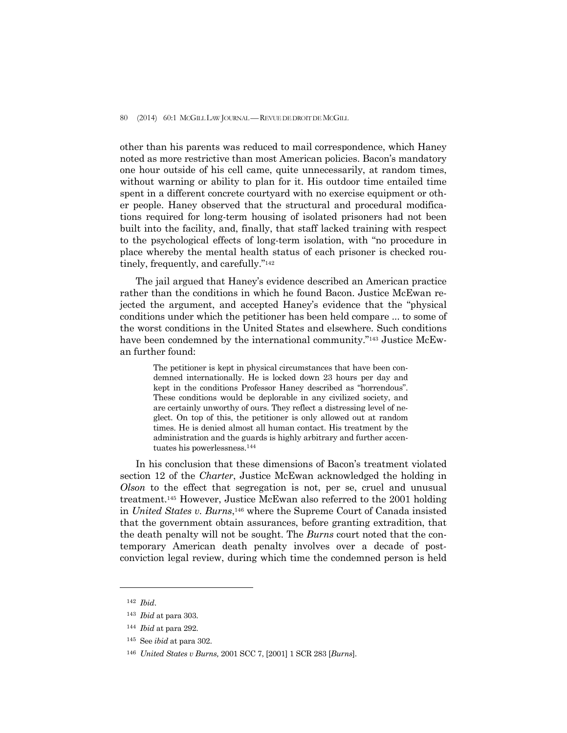80 (2014) 60:1 MCGILL LAW JOURNAL - REVUE DE DROIT DE MCGILL

other than his parents was reduced to mail correspondence, which Haney noted as more restrictive than most American policies. Bacon's mandatory one hour outside of his cell came, quite unnecessarily, at random times, without warning or ability to plan for it. His outdoor time entailed time spent in a different concrete courtyard with no exercise equipment or other people. Haney observed that the structural and procedural modifications required for long-term housing of isolated prisoners had not been built into the facility, and, finally, that staff lacked training with respect to the psychological effects of long-term isolation, with "no procedure in place whereby the mental health status of each prisoner is checked routinely, frequently, and carefully."142

 The jail argued that Haney's evidence described an American practice rather than the conditions in which he found Bacon. Justice McEwan rejected the argument, and accepted Haney's evidence that the "physical conditions under which the petitioner has been held compare ... to some of the worst conditions in the United States and elsewhere. Such conditions have been condemned by the international community."<sup>143</sup> Justice McEwan further found:

> The petitioner is kept in physical circumstances that have been condemned internationally. He is locked down 23 hours per day and kept in the conditions Professor Haney described as "horrendous". These conditions would be deplorable in any civilized society, and are certainly unworthy of ours. They reflect a distressing level of neglect. On top of this, the petitioner is only allowed out at random times. He is denied almost all human contact. His treatment by the administration and the guards is highly arbitrary and further accentuates his powerlessness.144

 In his conclusion that these dimensions of Bacon's treatment violated section 12 of the *Charter*, Justice McEwan acknowledged the holding in *Olson* to the effect that segregation is not, per se, cruel and unusual treatment.145 However, Justice McEwan also referred to the 2001 holding in *United States v. Burns*,146 where the Supreme Court of Canada insisted that the government obtain assurances, before granting extradition, that the death penalty will not be sought. The *Burns* court noted that the contemporary American death penalty involves over a decade of postconviction legal review, during which time the condemned person is held

<sup>142</sup> *Ibid*.

<sup>143</sup> *Ibid* at para 303.

<sup>144</sup> *Ibid* at para 292.

<sup>145</sup> See *ibid* at para 302.

<sup>146</sup> *United States v Burns,* 2001 SCC 7, [2001] 1 SCR 283 [*Burns*].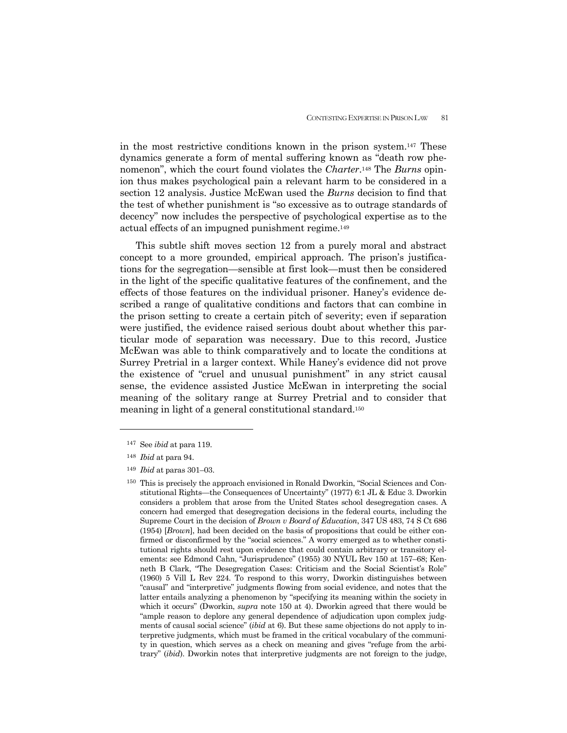in the most restrictive conditions known in the prison system.147 These dynamics generate a form of mental suffering known as "death row phenomenon", which the court found violates the *Charter*.148 The *Burns* opinion thus makes psychological pain a relevant harm to be considered in a section 12 analysis. Justice McEwan used the *Burns* decision to find that the test of whether punishment is "so excessive as to outrage standards of decency" now includes the perspective of psychological expertise as to the actual effects of an impugned punishment regime.149

 This subtle shift moves section 12 from a purely moral and abstract concept to a more grounded, empirical approach. The prison's justifications for the segregation—sensible at first look—must then be considered in the light of the specific qualitative features of the confinement, and the effects of those features on the individual prisoner. Haney's evidence described a range of qualitative conditions and factors that can combine in the prison setting to create a certain pitch of severity; even if separation were justified, the evidence raised serious doubt about whether this particular mode of separation was necessary. Due to this record, Justice McEwan was able to think comparatively and to locate the conditions at Surrey Pretrial in a larger context. While Haney's evidence did not prove the existence of "cruel and unusual punishment" in any strict causal sense, the evidence assisted Justice McEwan in interpreting the social meaning of the solitary range at Surrey Pretrial and to consider that meaning in light of a general constitutional standard.150

<sup>147</sup> See *ibid* at para 119.

<sup>148</sup> *Ibid* at para 94.

<sup>149</sup> *Ibid* at paras 301–03.

<sup>150</sup> This is precisely the approach envisioned in Ronald Dworkin, "Social Sciences and Constitutional Rights—the Consequences of Uncertainty" (1977) 6:1 JL & Educ 3. Dworkin considers a problem that arose from the United States school desegregation cases. A concern had emerged that desegregation decisions in the federal courts, including the Supreme Court in the decision of *Brown v Board of Education*, 347 US 483, 74 S Ct 686 (1954) [*Brown*], had been decided on the basis of propositions that could be either confirmed or disconfirmed by the "social sciences." A worry emerged as to whether constitutional rights should rest upon evidence that could contain arbitrary or transitory elements: see Edmond Cahn, "Jurisprudence" (1955) 30 NYUL Rev 150 at 157–68; Kenneth B Clark, "The Desegregation Cases: Criticism and the Social Scientist's Role" (1960) 5 Vill L Rev 224. To respond to this worry, Dworkin distinguishes between "causal" and "interpretive" judgments flowing from social evidence, and notes that the latter entails analyzing a phenomenon by "specifying its meaning within the society in which it occurs" (Dworkin, *supra* note 150 at 4). Dworkin agreed that there would be "ample reason to deplore any general dependence of adjudication upon complex judgments of causal social science" (*ibid* at 6). But these same objections do not apply to interpretive judgments, which must be framed in the critical vocabulary of the community in question, which serves as a check on meaning and gives "refuge from the arbitrary" (*ibid*). Dworkin notes that interpretive judgments are not foreign to the judge,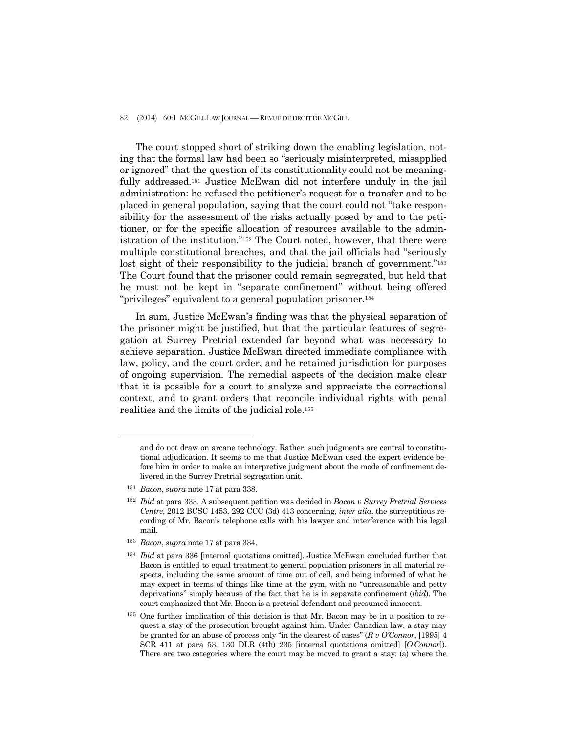#### 82 (2014) 60:1 MCGILL LAW JOURNAL — REVUE DE DROIT DE MCGILL

 The court stopped short of striking down the enabling legislation, noting that the formal law had been so "seriously misinterpreted, misapplied or ignored" that the question of its constitutionality could not be meaningfully addressed.151 Justice McEwan did not interfere unduly in the jail administration: he refused the petitioner's request for a transfer and to be placed in general population, saying that the court could not "take responsibility for the assessment of the risks actually posed by and to the petitioner, or for the specific allocation of resources available to the administration of the institution."152 The Court noted, however, that there were multiple constitutional breaches, and that the jail officials had "seriously lost sight of their responsibility to the judicial branch of government."<sup>153</sup> The Court found that the prisoner could remain segregated, but held that he must not be kept in "separate confinement" without being offered "privileges" equivalent to a general population prisoner.<sup>154</sup>

 In sum, Justice McEwan's finding was that the physical separation of the prisoner might be justified, but that the particular features of segregation at Surrey Pretrial extended far beyond what was necessary to achieve separation. Justice McEwan directed immediate compliance with law, policy, and the court order, and he retained jurisdiction for purposes of ongoing supervision. The remedial aspects of the decision make clear that it is possible for a court to analyze and appreciate the correctional context, and to grant orders that reconcile individual rights with penal realities and the limits of the judicial role.155

and do not draw on arcane technology. Rather, such judgments are central to constitutional adjudication. It seems to me that Justice McEwan used the expert evidence before him in order to make an interpretive judgment about the mode of confinement delivered in the Surrey Pretrial segregation unit.

<sup>151</sup> *Bacon*, *supra* note 17 at para 338.

<sup>152</sup> *Ibid* at para 333. A subsequent petition was decided in *Bacon v Surrey Pretrial Services Centre*, 2012 BCSC 1453, 292 CCC (3d) 413 concerning, *inter alia*, the surreptitious recording of Mr. Bacon's telephone calls with his lawyer and interference with his legal mail.

<sup>153</sup> *Bacon*, *supra* note 17 at para 334.

<sup>154</sup> *Ibid* at para 336 [internal quotations omitted]. Justice McEwan concluded further that Bacon is entitled to equal treatment to general population prisoners in all material respects, including the same amount of time out of cell, and being informed of what he may expect in terms of things like time at the gym, with no "unreasonable and petty deprivations" simply because of the fact that he is in separate confinement (*ibid*). The court emphasized that Mr. Bacon is a pretrial defendant and presumed innocent.

<sup>155</sup> One further implication of this decision is that Mr. Bacon may be in a position to request a stay of the prosecution brought against him. Under Canadian law, a stay may be granted for an abuse of process only "in the clearest of cases" (*R v O'Connor*, [1995] 4 SCR 411 at para 53, 130 DLR (4th) 235 [internal quotations omitted] [*O'Connor*]). There are two categories where the court may be moved to grant a stay: (a) where the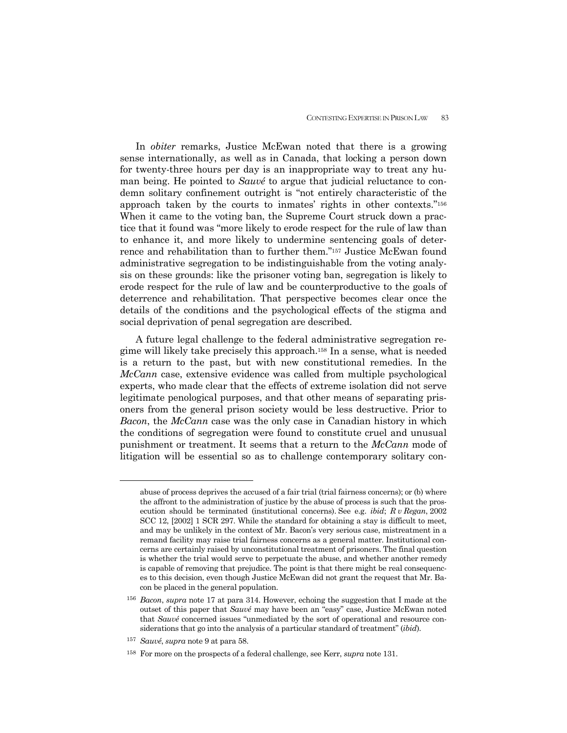In *obiter* remarks, Justice McEwan noted that there is a growing sense internationally, as well as in Canada, that locking a person down for twenty-three hours per day is an inappropriate way to treat any human being. He pointed to *Sauvé* to argue that judicial reluctance to condemn solitary confinement outright is "not entirely characteristic of the approach taken by the courts to inmates' rights in other contexts."156 When it came to the voting ban, the Supreme Court struck down a practice that it found was "more likely to erode respect for the rule of law than to enhance it, and more likely to undermine sentencing goals of deterrence and rehabilitation than to further them."157 Justice McEwan found administrative segregation to be indistinguishable from the voting analysis on these grounds: like the prisoner voting ban, segregation is likely to erode respect for the rule of law and be counterproductive to the goals of deterrence and rehabilitation. That perspective becomes clear once the details of the conditions and the psychological effects of the stigma and social deprivation of penal segregation are described.

 A future legal challenge to the federal administrative segregation regime will likely take precisely this approach.158 In a sense, what is needed is a return to the past, but with new constitutional remedies. In the *McCann* case, extensive evidence was called from multiple psychological experts, who made clear that the effects of extreme isolation did not serve legitimate penological purposes, and that other means of separating prisoners from the general prison society would be less destructive. Prior to *Bacon*, the *McCann* case was the only case in Canadian history in which the conditions of segregation were found to constitute cruel and unusual punishment or treatment. It seems that a return to the *McCann* mode of litigation will be essential so as to challenge contemporary solitary con-

abuse of process deprives the accused of a fair trial (trial fairness concerns); or (b) where the affront to the administration of justice by the abuse of process is such that the prosecution should be terminated (institutional concerns). See e.g. *ibid*; *R v Regan*, 2002 SCC 12, [2002] 1 SCR 297. While the standard for obtaining a stay is difficult to meet, and may be unlikely in the context of Mr. Bacon's very serious case, mistreatment in a remand facility may raise trial fairness concerns as a general matter. Institutional concerns are certainly raised by unconstitutional treatment of prisoners. The final question is whether the trial would serve to perpetuate the abuse, and whether another remedy is capable of removing that prejudice. The point is that there might be real consequences to this decision, even though Justice McEwan did not grant the request that Mr. Bacon be placed in the general population.

<sup>156</sup> *Bacon*, *supra* note 17 at para 314. However, echoing the suggestion that I made at the outset of this paper that *Sauvé* may have been an "easy" case, Justice McEwan noted that *Sauvé* concerned issues "unmediated by the sort of operational and resource considerations that go into the analysis of a particular standard of treatment" (*ibid*).

<sup>157</sup> *Sauvé*, *supra* note 9 at para 58.

<sup>158</sup> For more on the prospects of a federal challenge, see Kerr, *supra* note 131.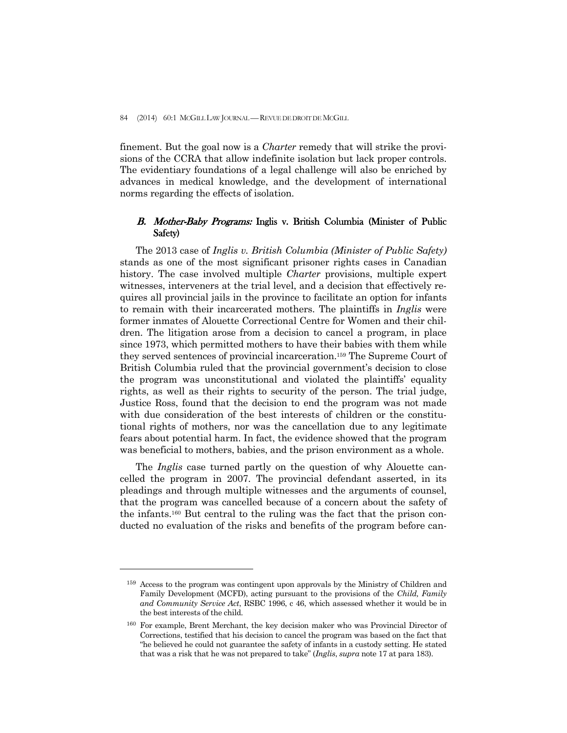finement. But the goal now is a *Charter* remedy that will strike the provisions of the CCRA that allow indefinite isolation but lack proper controls. The evidentiary foundations of a legal challenge will also be enriched by advances in medical knowledge, and the development of international norms regarding the effects of isolation.

# B. Mother-Baby Programs: Inglis v. British Columbia (Minister of Public Safety)

 The 2013 case of *Inglis v. British Columbia (Minister of Public Safety)* stands as one of the most significant prisoner rights cases in Canadian history. The case involved multiple *Charter* provisions, multiple expert witnesses, interveners at the trial level, and a decision that effectively requires all provincial jails in the province to facilitate an option for infants to remain with their incarcerated mothers. The plaintiffs in *Inglis* were former inmates of Alouette Correctional Centre for Women and their children. The litigation arose from a decision to cancel a program, in place since 1973, which permitted mothers to have their babies with them while they served sentences of provincial incarceration.159 The Supreme Court of British Columbia ruled that the provincial government's decision to close the program was unconstitutional and violated the plaintiffs' equality rights, as well as their rights to security of the person. The trial judge, Justice Ross, found that the decision to end the program was not made with due consideration of the best interests of children or the constitutional rights of mothers, nor was the cancellation due to any legitimate fears about potential harm. In fact, the evidence showed that the program was beneficial to mothers, babies, and the prison environment as a whole.

 The *Inglis* case turned partly on the question of why Alouette cancelled the program in 2007. The provincial defendant asserted, in its pleadings and through multiple witnesses and the arguments of counsel, that the program was cancelled because of a concern about the safety of the infants.160 But central to the ruling was the fact that the prison conducted no evaluation of the risks and benefits of the program before can-

<sup>159</sup> Access to the program was contingent upon approvals by the Ministry of Children and Family Development (MCFD), acting pursuant to the provisions of the *Child, Family and Community Service Act*, RSBC 1996, c 46, which assessed whether it would be in the best interests of the child.

<sup>160</sup> For example, Brent Merchant, the key decision maker who was Provincial Director of Corrections, testified that his decision to cancel the program was based on the fact that "he believed he could not guarantee the safety of infants in a custody setting. He stated that was a risk that he was not prepared to take" (*Inglis*, *supra* note 17 at para 183).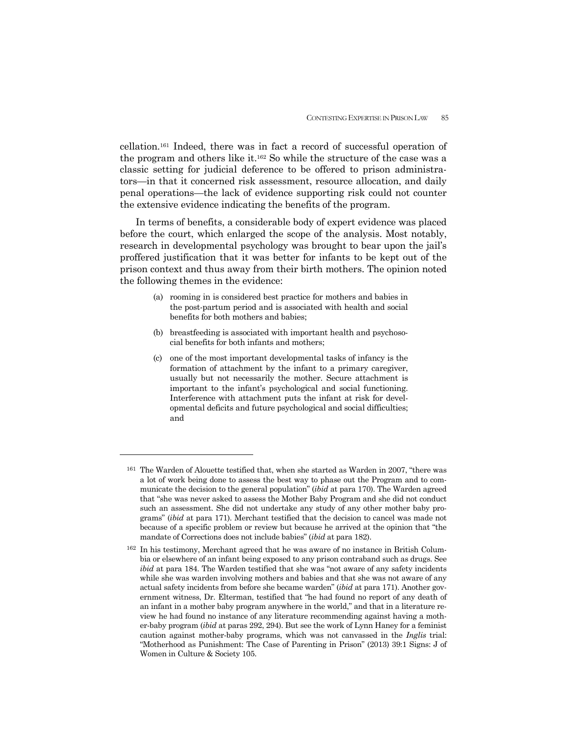cellation.161 Indeed, there was in fact a record of successful operation of the program and others like it.162 So while the structure of the case was a classic setting for judicial deference to be offered to prison administrators—in that it concerned risk assessment, resource allocation, and daily penal operations—the lack of evidence supporting risk could not counter the extensive evidence indicating the benefits of the program.

 In terms of benefits, a considerable body of expert evidence was placed before the court, which enlarged the scope of the analysis. Most notably, research in developmental psychology was brought to bear upon the jail's proffered justification that it was better for infants to be kept out of the prison context and thus away from their birth mothers. The opinion noted the following themes in the evidence:

- (a) rooming in is considered best practice for mothers and babies in the post-partum period and is associated with health and social benefits for both mothers and babies;
- (b) breastfeeding is associated with important health and psychosocial benefits for both infants and mothers;
- (c) one of the most important developmental tasks of infancy is the formation of attachment by the infant to a primary caregiver, usually but not necessarily the mother. Secure attachment is important to the infant's psychological and social functioning. Interference with attachment puts the infant at risk for developmental deficits and future psychological and social difficulties; and

<sup>161</sup> The Warden of Alouette testified that, when she started as Warden in 2007, "there was a lot of work being done to assess the best way to phase out the Program and to communicate the decision to the general population" (*ibid* at para 170). The Warden agreed that "she was never asked to assess the Mother Baby Program and she did not conduct such an assessment. She did not undertake any study of any other mother baby programs" (*ibid* at para 171). Merchant testified that the decision to cancel was made not because of a specific problem or review but because he arrived at the opinion that "the mandate of Corrections does not include babies" (*ibid* at para 182).

<sup>162</sup> In his testimony, Merchant agreed that he was aware of no instance in British Columbia or elsewhere of an infant being exposed to any prison contraband such as drugs. See *ibid* at para 184. The Warden testified that she was "not aware of any safety incidents while she was warden involving mothers and babies and that she was not aware of any actual safety incidents from before she became warden" (*ibid* at para 171). Another government witness, Dr. Elterman, testified that "he had found no report of any death of an infant in a mother baby program anywhere in the world," and that in a literature review he had found no instance of any literature recommending against having a mother-baby program (*ibid* at paras 292, 294). But see the work of Lynn Haney for a feminist caution against mother-baby programs, which was not canvassed in the *Inglis* trial: "Motherhood as Punishment: The Case of Parenting in Prison" (2013) 39:1 Signs: J of Women in Culture & Society 105.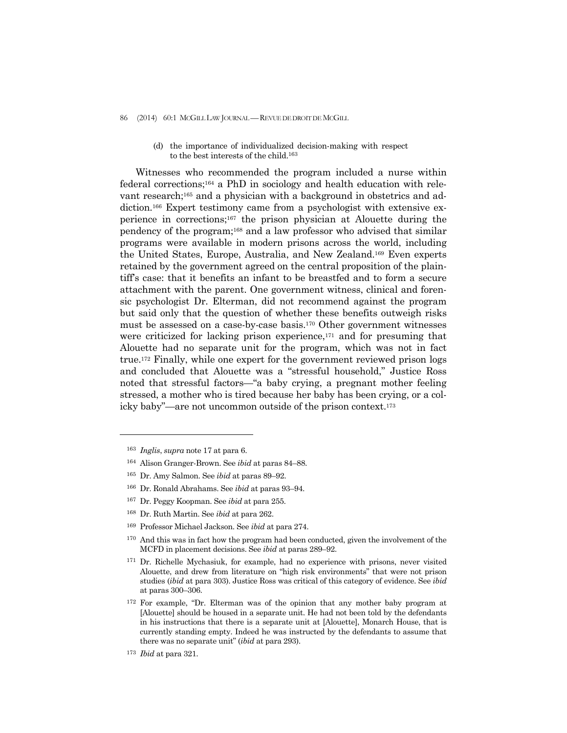86 (2014) 60:1 MCGILL LAW JOURNAL - REVUE DE DROIT DE MCGILL

(d) the importance of individualized decision-making with respect to the best interests of the child.163

 Witnesses who recommended the program included a nurse within federal corrections;164 a PhD in sociology and health education with relevant research;165 and a physician with a background in obstetrics and addiction.166 Expert testimony came from a psychologist with extensive experience in corrections;167 the prison physician at Alouette during the pendency of the program;168 and a law professor who advised that similar programs were available in modern prisons across the world, including the United States, Europe, Australia, and New Zealand.169 Even experts retained by the government agreed on the central proposition of the plaintiff's case: that it benefits an infant to be breastfed and to form a secure attachment with the parent. One government witness, clinical and forensic psychologist Dr. Elterman, did not recommend against the program but said only that the question of whether these benefits outweigh risks must be assessed on a case-by-case basis.170 Other government witnesses were criticized for lacking prison experience, $171$  and for presuming that Alouette had no separate unit for the program, which was not in fact true.172 Finally, while one expert for the government reviewed prison logs and concluded that Alouette was a "stressful household," Justice Ross noted that stressful factors—"a baby crying, a pregnant mother feeling stressed, a mother who is tired because her baby has been crying, or a colicky baby"—are not uncommon outside of the prison context.173

- 166 Dr. Ronald Abrahams. See *ibid* at paras 93–94.
- 167 Dr. Peggy Koopman. See *ibid* at para 255.
- 168 Dr. Ruth Martin. See *ibid* at para 262.
- 169 Professor Michael Jackson. See *ibid* at para 274.
- 170 And this was in fact how the program had been conducted, given the involvement of the MCFD in placement decisions. See *ibid* at paras 289–92.
- 171 Dr. Richelle Mychasiuk, for example, had no experience with prisons, never visited Alouette, and drew from literature on "high risk environments" that were not prison studies (*ibid* at para 303). Justice Ross was critical of this category of evidence. See *ibid* at paras 300–306.
- 172 For example, "Dr. Elterman was of the opinion that any mother baby program at [Alouette] should be housed in a separate unit. He had not been told by the defendants in his instructions that there is a separate unit at [Alouette], Monarch House, that is currently standing empty. Indeed he was instructed by the defendants to assume that there was no separate unit" (*ibid* at para 293).

<sup>163</sup> *Inglis*, *supra* note 17 at para 6.

<sup>164</sup> Alison Granger-Brown. See *ibid* at paras 84–88.

<sup>165</sup> Dr. Amy Salmon. See *ibid* at paras 89–92.

<sup>173</sup> *Ibid* at para 321.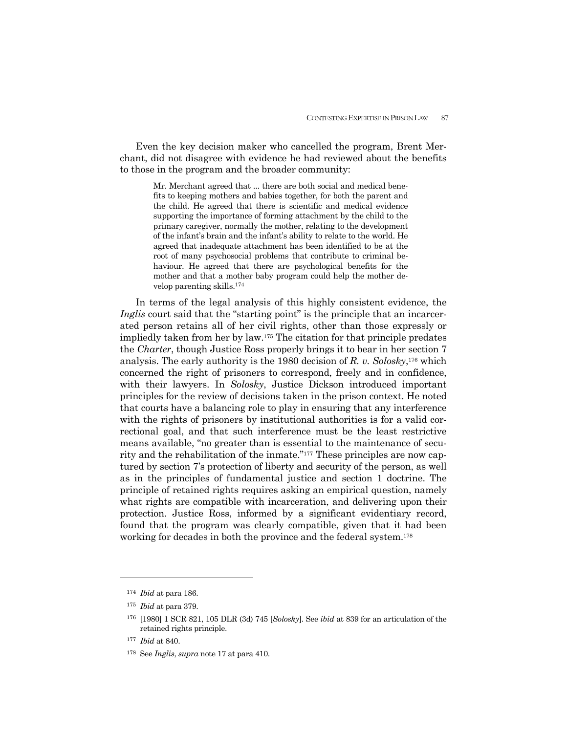Even the key decision maker who cancelled the program, Brent Merchant, did not disagree with evidence he had reviewed about the benefits to those in the program and the broader community:

> Mr. Merchant agreed that ... there are both social and medical benefits to keeping mothers and babies together, for both the parent and the child. He agreed that there is scientific and medical evidence supporting the importance of forming attachment by the child to the primary caregiver, normally the mother, relating to the development of the infant's brain and the infant's ability to relate to the world. He agreed that inadequate attachment has been identified to be at the root of many psychosocial problems that contribute to criminal behaviour. He agreed that there are psychological benefits for the mother and that a mother baby program could help the mother develop parenting skills.174

 In terms of the legal analysis of this highly consistent evidence, the *Inglis* court said that the "starting point" is the principle that an incarcerated person retains all of her civil rights, other than those expressly or impliedly taken from her by law.175 The citation for that principle predates the *Charter*, though Justice Ross properly brings it to bear in her section 7 analysis. The early authority is the 1980 decision of *R. v. Solosky*,176 which concerned the right of prisoners to correspond, freely and in confidence, with their lawyers. In *Solosky*, Justice Dickson introduced important principles for the review of decisions taken in the prison context. He noted that courts have a balancing role to play in ensuring that any interference with the rights of prisoners by institutional authorities is for a valid correctional goal, and that such interference must be the least restrictive means available, "no greater than is essential to the maintenance of security and the rehabilitation of the inmate."177 These principles are now captured by section 7's protection of liberty and security of the person, as well as in the principles of fundamental justice and section 1 doctrine. The principle of retained rights requires asking an empirical question, namely what rights are compatible with incarceration, and delivering upon their protection. Justice Ross, informed by a significant evidentiary record, found that the program was clearly compatible, given that it had been working for decades in both the province and the federal system.178

<sup>174</sup> *Ibid* at para 186.

<sup>175</sup> *Ibid* at para 379.

<sup>176 [1980] 1</sup> SCR 821, 105 DLR (3d) 745 [*Solosky*]. See *ibid* at 839 for an articulation of the retained rights principle.

<sup>177</sup> *Ibid* at 840.

<sup>178</sup> See *Inglis*, *supra* note 17 at para 410.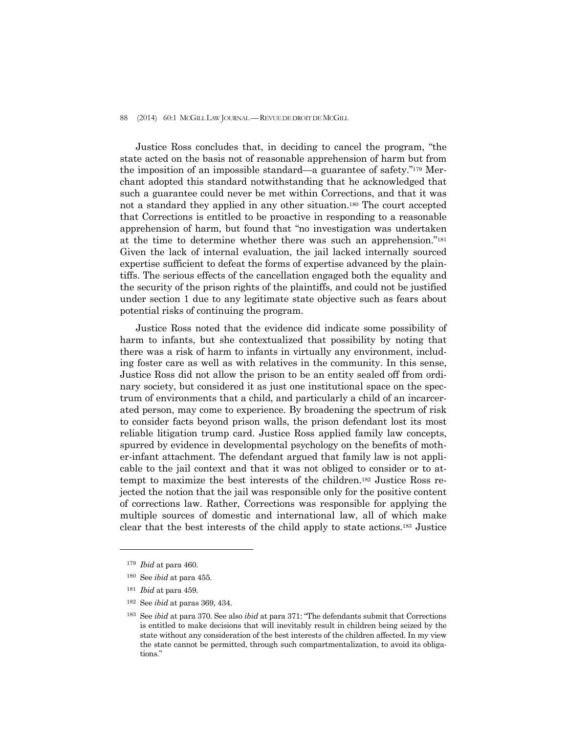#### 88 (2014) 60:1 MCGILL LAW JOURNAL — REVUE DE DROIT DE MCGILL

 Justice Ross concludes that, in deciding to cancel the program, "the state acted on the basis not of reasonable apprehension of harm but from the imposition of an impossible standard—a guarantee of safety."179 Merchant adopted this standard notwithstanding that he acknowledged that such a guarantee could never be met within Corrections, and that it was not a standard they applied in any other situation.180 The court accepted that Corrections is entitled to be proactive in responding to a reasonable apprehension of harm, but found that "no investigation was undertaken at the time to determine whether there was such an apprehension."181 Given the lack of internal evaluation, the jail lacked internally sourced expertise sufficient to defeat the forms of expertise advanced by the plaintiffs. The serious effects of the cancellation engaged both the equality and the security of the prison rights of the plaintiffs, and could not be justified under section 1 due to any legitimate state objective such as fears about potential risks of continuing the program.

 Justice Ross noted that the evidence did indicate some possibility of harm to infants, but she contextualized that possibility by noting that there was a risk of harm to infants in virtually any environment, including foster care as well as with relatives in the community. In this sense, Justice Ross did not allow the prison to be an entity sealed off from ordinary society, but considered it as just one institutional space on the spectrum of environments that a child, and particularly a child of an incarcerated person, may come to experience. By broadening the spectrum of risk to consider facts beyond prison walls, the prison defendant lost its most reliable litigation trump card. Justice Ross applied family law concepts, spurred by evidence in developmental psychology on the benefits of mother-infant attachment. The defendant argued that family law is not applicable to the jail context and that it was not obliged to consider or to attempt to maximize the best interests of the children.182 Justice Ross rejected the notion that the jail was responsible only for the positive content of corrections law. Rather, Corrections was responsible for applying the multiple sources of domestic and international law, all of which make clear that the best interests of the child apply to state actions.183 Justice

<sup>179</sup> *Ibid* at para 460.

<sup>180</sup> See *ibid* at para 455.

<sup>181</sup> *Ibid* at para 459.

<sup>182</sup>See *ibid* at paras 369, 434.

<sup>183</sup>See *ibid* at para 370. See also *ibid* at para 371: "The defendants submit that Corrections is entitled to make decisions that will inevitably result in children being seized by the state without any consideration of the best interests of the children affected. In my view the state cannot be permitted, through such compartmentalization, to avoid its obligations."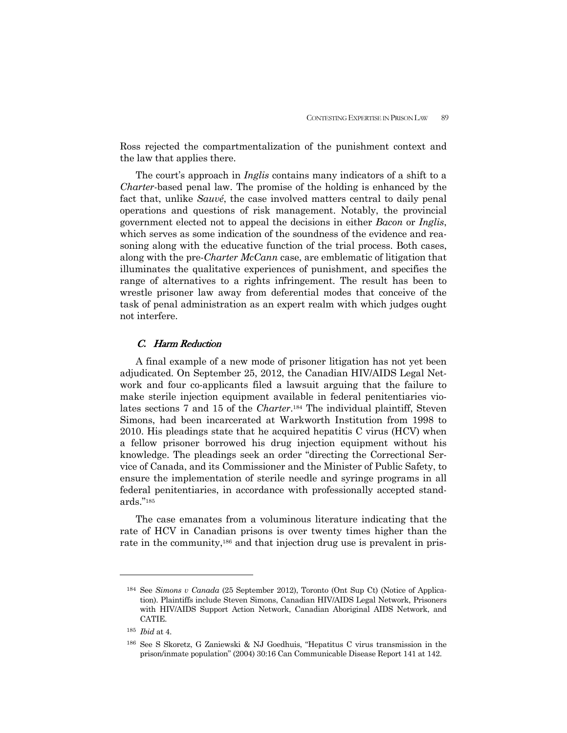Ross rejected the compartmentalization of the punishment context and the law that applies there.

 The court's approach in *Inglis* contains many indicators of a shift to a *Charter*-based penal law. The promise of the holding is enhanced by the fact that, unlike *Sauvé*, the case involved matters central to daily penal operations and questions of risk management. Notably, the provincial government elected not to appeal the decisions in either *Bacon* or *Inglis*, which serves as some indication of the soundness of the evidence and reasoning along with the educative function of the trial process. Both cases, along with the pre-*Charter McCann* case, are emblematic of litigation that illuminates the qualitative experiences of punishment, and specifies the range of alternatives to a rights infringement. The result has been to wrestle prisoner law away from deferential modes that conceive of the task of penal administration as an expert realm with which judges ought not interfere.

### C. Harm Reduction

 A final example of a new mode of prisoner litigation has not yet been adjudicated. On September 25, 2012, the Canadian HIV/AIDS Legal Network and four co-applicants filed a lawsuit arguing that the failure to make sterile injection equipment available in federal penitentiaries violates sections 7 and 15 of the *Charter*.184 The individual plaintiff, Steven Simons, had been incarcerated at Warkworth Institution from 1998 to 2010. His pleadings state that he acquired hepatitis C virus (HCV) when a fellow prisoner borrowed his drug injection equipment without his knowledge. The pleadings seek an order "directing the Correctional Service of Canada, and its Commissioner and the Minister of Public Safety, to ensure the implementation of sterile needle and syringe programs in all federal penitentiaries, in accordance with professionally accepted standards."185

 The case emanates from a voluminous literature indicating that the rate of HCV in Canadian prisons is over twenty times higher than the rate in the community,<sup>186</sup> and that injection drug use is prevalent in pris-

<sup>184</sup> See *Simons v Canada* (25 September 2012), Toronto (Ont Sup Ct) (Notice of Application). Plaintiffs include Steven Simons, Canadian HIV/AIDS Legal Network, Prisoners with HIV/AIDS Support Action Network, Canadian Aboriginal AIDS Network, and CATIE.

<sup>185</sup> *Ibid* at 4.

<sup>186</sup> See S Skoretz, G Zaniewski & NJ Goedhuis, "Hepatitus C virus transmission in the prison/inmate population" (2004) 30:16 Can Communicable Disease Report 141 at 142.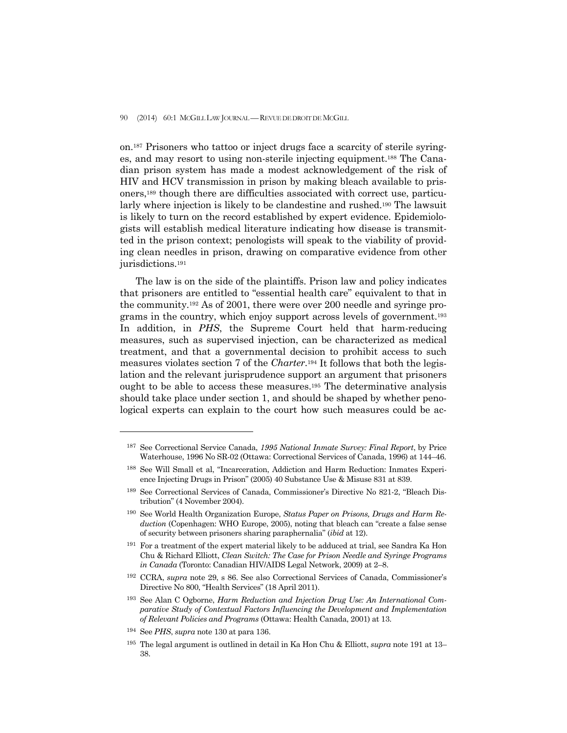### 90 (2014) 60:1 MCGILL LAW JOURNAL —REVUE DE DROIT DE MCGILL

on.187 Prisoners who tattoo or inject drugs face a scarcity of sterile syringes, and may resort to using non-sterile injecting equipment.188 The Canadian prison system has made a modest acknowledgement of the risk of HIV and HCV transmission in prison by making bleach available to prisoners,189 though there are difficulties associated with correct use, particularly where injection is likely to be clandestine and rushed.<sup>190</sup> The lawsuit is likely to turn on the record established by expert evidence. Epidemiologists will establish medical literature indicating how disease is transmitted in the prison context; penologists will speak to the viability of providing clean needles in prison, drawing on comparative evidence from other jurisdictions.191

 The law is on the side of the plaintiffs. Prison law and policy indicates that prisoners are entitled to "essential health care" equivalent to that in the community.192 As of 2001, there were over 200 needle and syringe programs in the country, which enjoy support across levels of government.193 In addition, in *PHS*, the Supreme Court held that harm-reducing measures, such as supervised injection, can be characterized as medical treatment, and that a governmental decision to prohibit access to such measures violates section 7 of the *Charter*.194 It follows that both the legislation and the relevant jurisprudence support an argument that prisoners ought to be able to access these measures.195 The determinative analysis should take place under section 1, and should be shaped by whether penological experts can explain to the court how such measures could be ac-

194 See *PHS*, *supra* note 130 at para 136.

<sup>187</sup> See Correctional Service Canada, *1995 National Inmate Survey: Final Report*, by Price Waterhouse, 1996 No SR-02 (Ottawa: Correctional Services of Canada, 1996) at 144–46.

<sup>188</sup> See Will Small et al, "Incarceration, Addiction and Harm Reduction: Inmates Experience Injecting Drugs in Prison" (2005) 40 Substance Use & Misuse 831 at 839.

<sup>189</sup> See Correctional Services of Canada, Commissioner's Directive No 821-2, "Bleach Distribution" (4 November 2004).

<sup>190</sup> See World Health Organization Europe, *Status Paper on Prisons, Drugs and Harm Reduction* (Copenhagen: WHO Europe, 2005), noting that bleach can "create a false sense of security between prisoners sharing paraphernalia" (*ibid* at 12).

<sup>191</sup> For a treatment of the expert material likely to be adduced at trial, see Sandra Ka Hon Chu & Richard Elliott, *Clean Switch: The Case for Prison Needle and Syringe Programs in Canada* (Toronto: Canadian HIV/AIDS Legal Network, 2009) at 2–8.

<sup>192</sup> CCRA, *supra* note 29, s 86. See also Correctional Services of Canada, Commissioner's Directive No 800, "Health Services" (18 April 2011).

<sup>193</sup> See Alan C Ogborne, *Harm Reduction and Injection Drug Use: An International Comparative Study of Contextual Factors Influencing the Development and Implementation of Relevant Policies and Programs* (Ottawa: Health Canada, 2001) at 13.

<sup>195</sup> The legal argument is outlined in detail in Ka Hon Chu & Elliott, *supra* note 191 at 13– 38.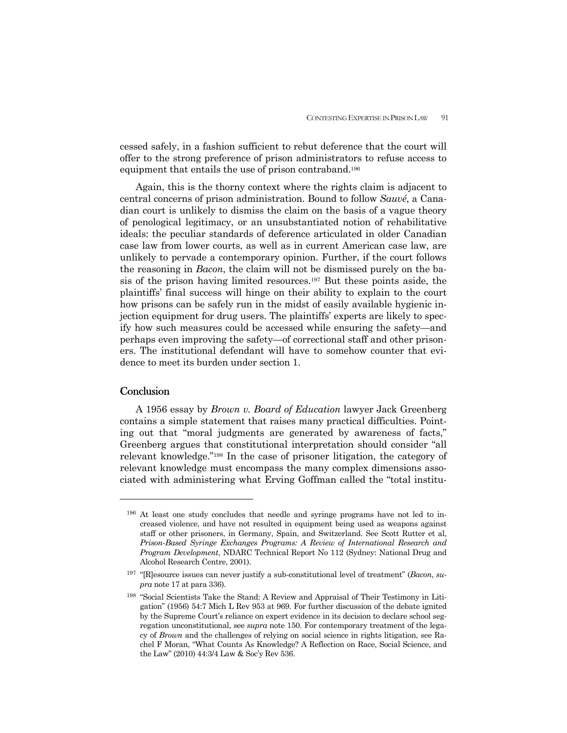cessed safely, in a fashion sufficient to rebut deference that the court will offer to the strong preference of prison administrators to refuse access to equipment that entails the use of prison contraband.196

 Again, this is the thorny context where the rights claim is adjacent to central concerns of prison administration. Bound to follow *Sauvé*, a Canadian court is unlikely to dismiss the claim on the basis of a vague theory of penological legitimacy, or an unsubstantiated notion of rehabilitative ideals: the peculiar standards of deference articulated in older Canadian case law from lower courts, as well as in current American case law, are unlikely to pervade a contemporary opinion. Further, if the court follows the reasoning in *Bacon*, the claim will not be dismissed purely on the basis of the prison having limited resources.197 But these points aside, the plaintiffs' final success will hinge on their ability to explain to the court how prisons can be safely run in the midst of easily available hygienic injection equipment for drug users. The plaintiffs' experts are likely to specify how such measures could be accessed while ensuring the safety—and perhaps even improving the safety—of correctional staff and other prisoners. The institutional defendant will have to somehow counter that evidence to meet its burden under section 1.

# **Conclusion**

-

 A 1956 essay by *Brown v. Board of Education* lawyer Jack Greenberg contains a simple statement that raises many practical difficulties. Pointing out that "moral judgments are generated by awareness of facts," Greenberg argues that constitutional interpretation should consider "all relevant knowledge."198 In the case of prisoner litigation, the category of relevant knowledge must encompass the many complex dimensions associated with administering what Erving Goffman called the "total institu-

<sup>196</sup> At least one study concludes that needle and syringe programs have not led to increased violence, and have not resulted in equipment being used as weapons against staff or other prisoners, in Germany, Spain, and Switzerland. See Scott Rutter et al, *Prison-Based Syringe Exchanges Programs: A Review of International Research and Program Development*, NDARC Technical Report No 112 (Sydney: National Drug and Alcohol Research Centre, 2001).

<sup>197 &</sup>quot;[R]esource issues can never justify a sub-constitutional level of treatment" (*Bacon*, *supra* note 17 at para 336).

<sup>198 &</sup>quot;Social Scientists Take the Stand: A Review and Appraisal of Their Testimony in Litigation" (1956) 54:7 Mich L Rev 953 at 969. For further discussion of the debate ignited by the Supreme Court's reliance on expert evidence in its decision to declare school segregation unconstitutional, see *supra* note 150. For contemporary treatment of the legacy of *Brown* and the challenges of relying on social science in rights litigation, see Rachel F Moran, "What Counts As Knowledge? A Reflection on Race, Social Science, and the Law" (2010) 44:3/4 Law & Soc'y Rev 536.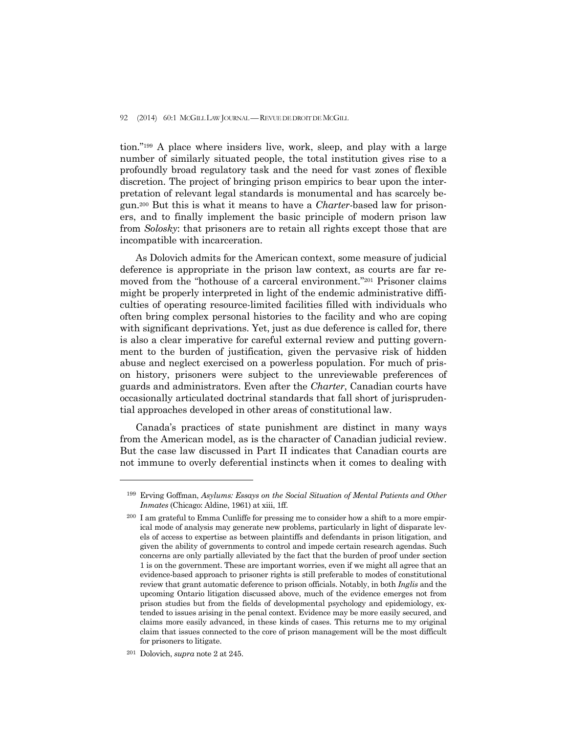### 92 (2014) 60:1 MCGILL LAW JOURNAL — REVUE DE DROIT DE MCGILL

tion."199 A place where insiders live, work, sleep, and play with a large number of similarly situated people, the total institution gives rise to a profoundly broad regulatory task and the need for vast zones of flexible discretion. The project of bringing prison empirics to bear upon the interpretation of relevant legal standards is monumental and has scarcely begun.200 But this is what it means to have a *Charter*-based law for prisoners, and to finally implement the basic principle of modern prison law from *Solosky*: that prisoners are to retain all rights except those that are incompatible with incarceration.

 As Dolovich admits for the American context, some measure of judicial deference is appropriate in the prison law context, as courts are far removed from the "hothouse of a carceral environment."201 Prisoner claims might be properly interpreted in light of the endemic administrative difficulties of operating resource-limited facilities filled with individuals who often bring complex personal histories to the facility and who are coping with significant deprivations. Yet, just as due deference is called for, there is also a clear imperative for careful external review and putting government to the burden of justification, given the pervasive risk of hidden abuse and neglect exercised on a powerless population. For much of prison history, prisoners were subject to the unreviewable preferences of guards and administrators. Even after the *Charter*, Canadian courts have occasionally articulated doctrinal standards that fall short of jurisprudential approaches developed in other areas of constitutional law.

 Canada's practices of state punishment are distinct in many ways from the American model, as is the character of Canadian judicial review. But the case law discussed in Part II indicates that Canadian courts are not immune to overly deferential instincts when it comes to dealing with

<sup>199</sup> Erving Goffman, *Asylums: Essays on the Social Situation of Mental Patients and Other Inmates* (Chicago: Aldine, 1961) at xiii, 1ff.

<sup>200</sup> I am grateful to Emma Cunliffe for pressing me to consider how a shift to a more empirical mode of analysis may generate new problems, particularly in light of disparate levels of access to expertise as between plaintiffs and defendants in prison litigation, and given the ability of governments to control and impede certain research agendas. Such concerns are only partially alleviated by the fact that the burden of proof under section 1 is on the government. These are important worries, even if we might all agree that an evidence-based approach to prisoner rights is still preferable to modes of constitutional review that grant automatic deference to prison officials. Notably, in both *Inglis* and the upcoming Ontario litigation discussed above, much of the evidence emerges not from prison studies but from the fields of developmental psychology and epidemiology, extended to issues arising in the penal context. Evidence may be more easily secured, and claims more easily advanced, in these kinds of cases. This returns me to my original claim that issues connected to the core of prison management will be the most difficult for prisoners to litigate.

<sup>201</sup> Dolovich, *supra* note 2 at 245.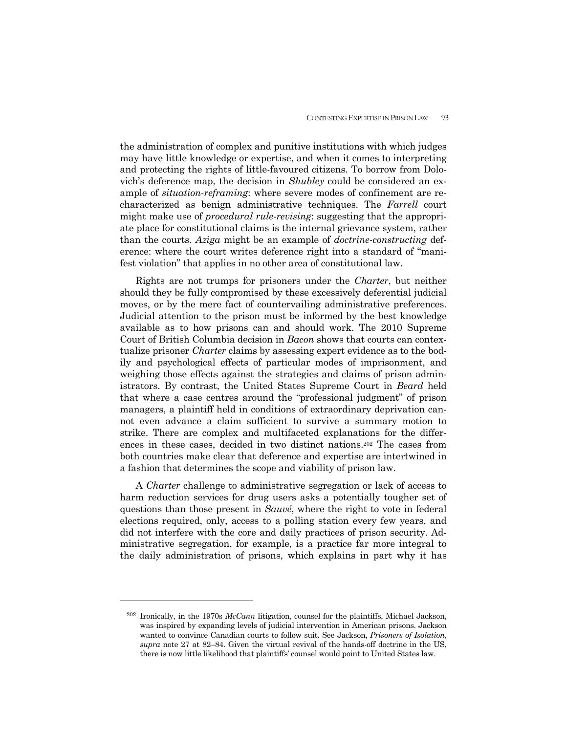the administration of complex and punitive institutions with which judges may have little knowledge or expertise, and when it comes to interpreting and protecting the rights of little-favoured citizens. To borrow from Dolovich's deference map, the decision in *Shubley* could be considered an example of *situation-reframing*: where severe modes of confinement are recharacterized as benign administrative techniques. The *Farrell* court might make use of *procedural rule-revising*: suggesting that the appropriate place for constitutional claims is the internal grievance system, rather than the courts. *Aziga* might be an example of *doctrine-constructing* deference: where the court writes deference right into a standard of "manifest violation" that applies in no other area of constitutional law.

 Rights are not trumps for prisoners under the *Charter*, but neither should they be fully compromised by these excessively deferential judicial moves, or by the mere fact of countervailing administrative preferences. Judicial attention to the prison must be informed by the best knowledge available as to how prisons can and should work. The 2010 Supreme Court of British Columbia decision in *Bacon* shows that courts can contextualize prisoner *Charter* claims by assessing expert evidence as to the bodily and psychological effects of particular modes of imprisonment, and weighing those effects against the strategies and claims of prison administrators. By contrast, the United States Supreme Court in *Beard* held that where a case centres around the "professional judgment" of prison managers, a plaintiff held in conditions of extraordinary deprivation cannot even advance a claim sufficient to survive a summary motion to strike. There are complex and multifaceted explanations for the differences in these cases, decided in two distinct nations.202 The cases from both countries make clear that deference and expertise are intertwined in a fashion that determines the scope and viability of prison law.

 A *Charter* challenge to administrative segregation or lack of access to harm reduction services for drug users asks a potentially tougher set of questions than those present in *Sauvé*, where the right to vote in federal elections required, only, access to a polling station every few years, and did not interfere with the core and daily practices of prison security. Administrative segregation, for example, is a practice far more integral to the daily administration of prisons, which explains in part why it has

<sup>202</sup> Ironically, in the 1970s *McCann* litigation, counsel for the plaintiffs, Michael Jackson, was inspired by expanding levels of judicial intervention in American prisons. Jackson wanted to convince Canadian courts to follow suit. See Jackson, *Prisoners of Isolation*, *supra* note 27 at 82–84. Given the virtual revival of the hands-off doctrine in the US, there is now little likelihood that plaintiffs' counsel would point to United States law.